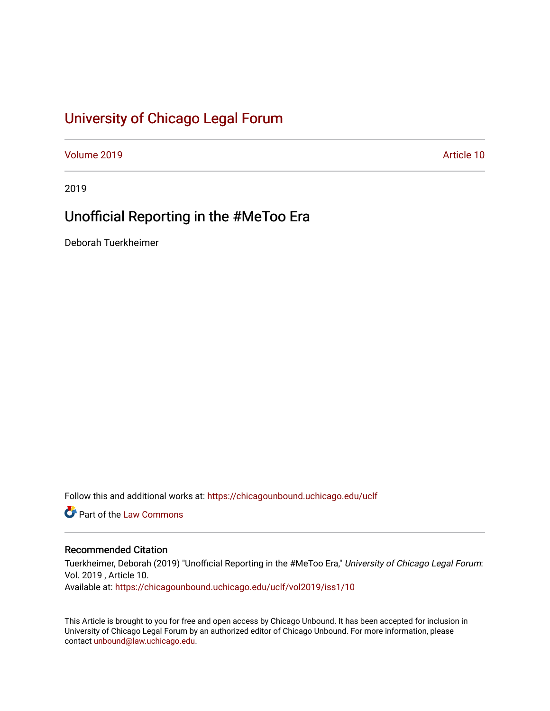# [University of Chicago Legal Forum](https://chicagounbound.uchicago.edu/uclf)

[Volume 2019](https://chicagounbound.uchicago.edu/uclf/vol2019) [Article 10](https://chicagounbound.uchicago.edu/uclf/vol2019/iss1/10) 

2019

# Unofficial Reporting in the #MeToo Era

Deborah Tuerkheimer

Follow this and additional works at: [https://chicagounbound.uchicago.edu/uclf](https://chicagounbound.uchicago.edu/uclf?utm_source=chicagounbound.uchicago.edu%2Fuclf%2Fvol2019%2Fiss1%2F10&utm_medium=PDF&utm_campaign=PDFCoverPages) 

Part of the [Law Commons](http://network.bepress.com/hgg/discipline/578?utm_source=chicagounbound.uchicago.edu%2Fuclf%2Fvol2019%2Fiss1%2F10&utm_medium=PDF&utm_campaign=PDFCoverPages)

### Recommended Citation

Tuerkheimer, Deborah (2019) "Unofficial Reporting in the #MeToo Era," University of Chicago Legal Forum: Vol. 2019 , Article 10. Available at: [https://chicagounbound.uchicago.edu/uclf/vol2019/iss1/10](https://chicagounbound.uchicago.edu/uclf/vol2019/iss1/10?utm_source=chicagounbound.uchicago.edu%2Fuclf%2Fvol2019%2Fiss1%2F10&utm_medium=PDF&utm_campaign=PDFCoverPages)

This Article is brought to you for free and open access by Chicago Unbound. It has been accepted for inclusion in University of Chicago Legal Forum by an authorized editor of Chicago Unbound. For more information, please contact [unbound@law.uchicago.edu](mailto:unbound@law.uchicago.edu).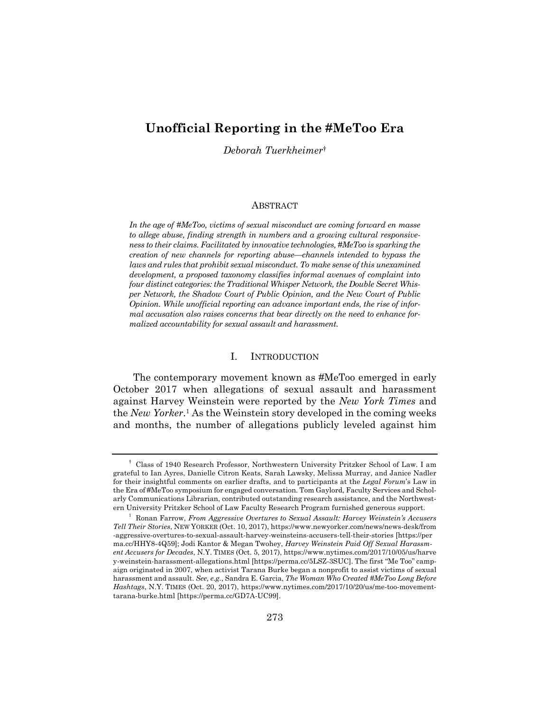## **Unofficial Reporting in the #MeToo Era**

*Deborah Tuerkheimer*†

#### ABSTRACT

*In the age of #MeToo, victims of sexual misconduct are coming forward en masse to allege abuse, finding strength in numbers and a growing cultural responsiveness to their claims. Facilitated by innovative technologies,#MeToo is sparking the creation of new channels for reporting abuse—channels intended to bypass the laws and rules that prohibit sexual misconduct. To make sense of this unexamined development, a proposed taxonomy classifies informal avenues of complaint into four distinct categories: the Traditional Whisper Network, the Double Secret Whisper Network, the Shadow Court of Public Opinion, and the New Court of Public Opinion. While unofficial reporting can advance important ends, the rise of informal accusation also raises concerns that bear directly on the need to enhance formalized accountability for sexual assault and harassment.* 

#### I. INTRODUCTION

The contemporary movement known as #MeToo emerged in early October 2017 when allegations of sexual assault and harassment against Harvey Weinstein were reported by the *New York Times* and the *New Yorker*.1 As the Weinstein story developed in the coming weeks and months, the number of allegations publicly leveled against him

<sup>†</sup> Class of 1940 Research Professor, Northwestern University Pritzker School of Law. I am grateful to Ian Ayres, Danielle Citron Keats, Sarah Lawsky, Melissa Murray, and Janice Nadler for their insightful comments on earlier drafts, and to participants at the *Legal Forum*'s Law in the Era of #MeToo symposium for engaged conversation. Tom Gaylord, Faculty Services and Scholarly Communications Librarian, contributed outstanding research assistance, and the Northwestern University Pritzker School of Law Faculty Research Program furnished generous support. 1

Ronan Farrow, *From Aggressive Overtures to Sexual Assault: Harvey Weinstein's Accusers Tell Their Stories*, NEW YORKER (Oct. 10, 2017), https://www.newyorker.com/news/news-desk/from -aggressive-overtures-to-sexual-assault-harvey-weinsteins-accusers-tell-their-stories [https://per ma.cc/HHY8-4Q59]; Jodi Kantor & Megan Twohey, *Harvey Weinstein Paid Off Sexual Harassment Accusers for Decades*, N.Y. TIMES (Oct. 5, 2017), https://www.nytimes.com/2017/10/05/us/harve y-weinstein-harassment-allegations.html [https://perma.cc/5LSZ-3SUC]. The first "Me Too" campaign originated in 2007, when activist Tarana Burke began a nonprofit to assist victims of sexual harassment and assault. *See, e.g.*, Sandra E. Garcia, *The Woman Who Created #MeToo Long Before Hashtags*, N.Y. TIMES (Oct. 20, 2017), https://www.nytimes.com/2017/10/20/us/me-too-movementtarana-burke.html [https://perma.cc/GD7A-UC99].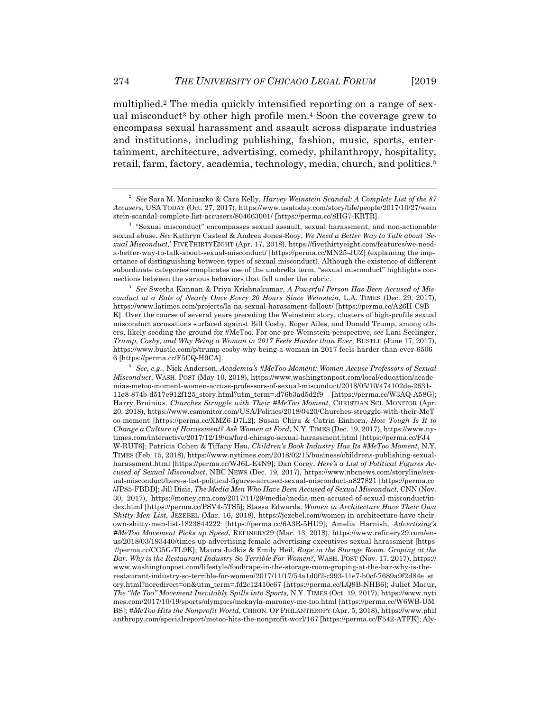multiplied.2 The media quickly intensified reporting on a range of sexual misconduct<sup>3</sup> by other high profile men.<sup>4</sup> Soon the coverage grew to encompass sexual harassment and assault across disparate industries and institutions, including publishing, fashion, music, sports, entertainment, architecture, advertising, comedy, philanthropy, hospitality,

retail, farm, factory, academia, technology, media, church, and politics.5

 *See* Swetha Kannan & Priya Krishnakumar, *A Powerful Person Has Been Accused of Misconduct at a Rate of Nearly Once Every 20 Hours Since Weinstein,* L.A. TIMES (Dec. 29, 2017), https://www.latimes.com/projects/la-na-sexual-harassment-fallout/ [https://perma.cc/A26H-C9B K]. Over the course of several years preceding the Weinstein story, clusters of high-profile sexual misconduct accusations surfaced against Bill Cosby, Roger Ailes, and Donald Trump, among others, likely seeding the ground for #MeToo. For one pre-Weinstein perspective, *see* Lani Seelinger, *Trump, Cosby, and Why Being a Woman in 2017 Feels Harder than Ever*, BUSTLE (June 17, 2017), https://www.bustle.com/p/trump-cosby-why-being-a-woman-in-2017-feels-harder-than-ever-6506 6 [https://perma.cc/F5CQ-H9CA].<br> $\frac{5}{5}$  See e.g. Niek Anderson

 *See, e.g.*, Nick Anderson, *Academia's #MeToo Moment: Women Accuse Professors of Sexual Misconduct*, WASH. POST (May 10, 2018), https://www.washingtonpost.com/local/education/acade mias-metoo-moment-women-accuse-professors-of-sexual-misconduct/2018/05/10/474102de-2631- 11e8-874b-d517e912f125\_story.html?utm\_term=.d76b3ad5d2f9 [https://perma.cc/W3AQ-A58G]; Harry Bruinius, *Churches Struggle with Their #MeToo Moment*, CHRISTIAN SCI. MONITOR (Apr. 20, 2018), https://www.csmonitor.com/USA/Politics/2018/0420/Churches-struggle-with-their-MeT oo-moment [https://perma.cc/XMZ6-D7L2]; Susan Chira & Catrin Einhorn, *How Tough Is It to Change a Culture of Harassment? Ask Women at Ford*, N.Y. TIMES (Dec. 19, 2017), https://www.nytimes.com/interactive/2017/12/19/us/ford-chicago-sexual-harassment.html [https://perma.cc/FJ4 W-RUT6]; Patricia Cohen & Tiffany Hsu, *Children's Book Industry Has Its #MeToo Moment*, N.Y. TIMES (Feb. 15, 2018), https://www.nytimes.com/2018/02/15/business/childrens-publishing-sexualharassment.html [https://perma.cc/WJ6L-E4N9]; Dan Corey, *Here's a List of Political Figures Accused of Sexual Misconduct*, NBC NEWS (Dec. 19, 2017), https://www.nbcnews.com/storyline/sexual-misconduct/here-s-list-political-figures-accused-sexual-misconduct-n827821 [https://perma.cc /JP85-FBDD]; Jill Disis, *The Media Men Who Have Been Accused of Sexual Misconduct*, CNN (Nov. 30, 2017), https://money.cnn.com/2017/11/29/media/media-men-accused-of-sexual-misconduct/index.html [https://perma.cc/PSV4-5TS5]; Stassa Edwards, *Women in Architecture Have Their Own Shitty Men List*, JEZEBEL (Mar. 16, 2018), https://jezebel.com/women-in-architecture-have-theirown-shitty-men-list-1823844222 [https://perma.cc/6A3R-5HU9]; Amelia Harnish, *Advertising's #MeToo Movement Picks up Speed,* REFINERY29 (Mar. 13, 2018), https://www.refinery29.com/enus/2018/03/193440/times-up-advertising-female-advertising-executives-sexual-harassment [https ://perma.cc/CG5G-TL9K]; Maura Judkis & Emily Heil, *Rape in the Storage Room. Groping at the Bar. Why is the Restaurant Industry So Terrible For Women?*, WASH. POST (Nov. 17, 2017), https:// www.washingtonpost.com/lifestyle/food/rape-in-the-storage-room-groping-at-the-bar-why-is-therestaurant-industry-so-terrible-for-women/2017/11/17/54a1d0f2-c993-11e7-b0cf-7689a9f2d84e\_st ory.html?noredirect=on&utm\_term=.fd2c12410c67 [https://perma.cc/LQ9B-NHB6]; Juliet Macur, *The "Me Too" Movement Inevitably Spills into Sports,* N.Y. TIMES (Oct. 19, 2017), https://www.nyti mes.com/2017/10/19/sports/olympics/mckayla-maroney-me-too.html [https://perma.cc/W6WB-UM BS]; *#MeToo Hits the Nonprofit World*, CHRON. OF PHILANTHROPY (Apr. 5, 2018), https://www.phil anthropy.com/specialreport/metoo-hits-the-nonprofit-worl/167 [https://perma.cc/F542-ATFK]; Aly-

<sup>2</sup>  *See* Sara M. Moniuszko & Cara Kelly, *Harvey Weinstein Scandal: A Complete List of the 87 Accusers*, USA TODAY (Oct. 27, 2017), https://www.usatoday.com/story/life/people/2017/10/27/wein stein-scandal-complete-list-accusers/804663001/ [https://perma.cc/8HG7-KRTR]. 3

 $3$  "Sexual misconduct" encompasses sexual assault, sexual harassment, and non-actionable sexual abuse. *See* Kathryn Casteel & Andrea Jones-Rooy, *We Need a Better Way to Talk about 'Sexual Misconduct,*' FIVETHIRTYEIGHT (Apr. 17, 2018), https://fivethirtyeight.com/features/we-needa-better-way-to-talk-about-sexual-misconduct/ [https://perma.cc/MN25-JUZ] (explaining the importance of distinguishing between types of sexual misconduct). Although the existence of different subordinate categories complicates use of the umbrella term, "sexual misconduct" highlights connections between the various behaviors that fall under the rubric. 4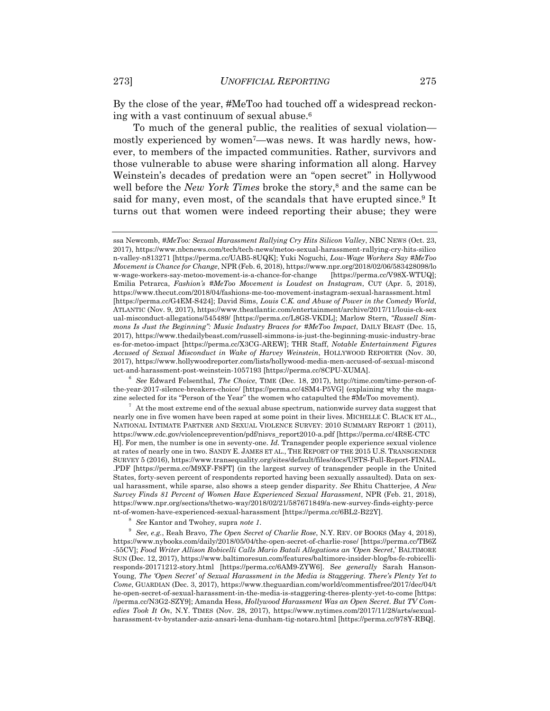By the close of the year, #MeToo had touched off a widespread reckoning with a vast continuum of sexual abuse.6

To much of the general public, the realities of sexual violation mostly experienced by women7—was news. It was hardly news, however, to members of the impacted communities. Rather, survivors and those vulnerable to abuse were sharing information all along. Harvey Weinstein's decades of predation were an "open secret" in Hollywood well before the *New York Times* broke the story,<sup>8</sup> and the same can be said for many, even most, of the scandals that have erupted since.<sup>9</sup> It turns out that women were indeed reporting their abuse; they were

<sup>6</sup> See Edward Felsenthal, *The Choice*, TIME (Dec. 18, 2017), http://time.com/time-person-ofthe-year-2017-silence-breakers-choice/ [https://perma.cc/4SM4-P5VG] (explaining why the magazine selected for its "Person of the Year" the women who catapulted the #MeToo movement). 7

 $^7\,$  At the most extreme end of the sexual abuse spectrum, nationwide survey data suggest that nearly one in five women have been raped at some point in their lives. MICHELLE C. BLACK ET AL., NATIONAL INTIMATE PARTNER AND SEXUAL VIOLENCE SURVEY: 2010 SUMMARY REPORT 1 (2011), https://www.cdc.gov/violenceprevention/pdf/nisvs\_report2010-a.pdf [https://perma.cc/4R8E-CTC H]. For men, the number is one in seventy-one. *Id.* Transgender people experience sexual violence at rates of nearly one in two. SANDY E. JAMES ET AL., THE REPORT OF THE 2015 U.S. TRANSGENDER SURVEY 5 (2016), https://www.transequality.org/sites/default/files/docs/USTS-Full-Report-FINAL. .PDF [https://perma.cc/M9XF-F8FT] (in the largest survey of transgender people in the United States, forty-seven percent of respondents reported having been sexually assaulted). Data on sexual harassment, while sparse, also shows a steep gender disparity. *See* Rhitu Chatterjee, *A New Survey Finds 81 Percent of Women Have Experienced Sexual Harassment*, NPR (Feb. 21, 2018), https://www.npr.org/sections/thetwo-way/2018/02/21/587671849/a-new-survey-finds-eighty-perce nt-of-women-have-experienced-sexual-harassment [https://perma.cc/6BL2-B22Y].

<sup>8</sup> See Kantor and Twohey, supra *note 1*.

 *See, e.g.*, Reah Bravo, *The Open Secret of Charlie Rose*, N.Y. REV. OF BOOKS (May 4, 2018), https://www.nybooks.com/daily/2018/05/04/the-open-secret-of-charlie-rose/ [https://perma.cc/TB6Z -55CV]; *Food Writer Allison Robicelli Calls Mario Batali Allegations an 'Open Secret*,' BALTIMORE SUN (Dec. 12, 2017), https://www.baltimoresun.com/features/baltimore-insider-blog/bs-fe-robicelliresponds-20171212-story.html [https://perma.cc/6AM9-ZYW6]. S*ee generally* Sarah Hanson-Young, *The 'Open Secret' of Sexual Harassment in the Media is Staggering. There's Plenty Yet to Come*, GUARDIAN (Dec. 3, 2017), https://www.theguardian.com/world/commentisfree/2017/dec/04/t he-open-secret-of-sexual-harassment-in-the-media-is-staggering-theres-plenty-yet-to-come [https: //perma.cc/N3G2-SZY9]; Amanda Hess, *Hollywood Harassment Was an Open Secret. But TV Comedies Took It On*, N.Y. TIMES (Nov. 28, 2017), https://www.nytimes.com/2017/11/28/arts/sexualharassment-tv-bystander-aziz-ansari-lena-dunham-tig-notaro.html [https://perma.cc/978Y-RBQ].

ssa Newcomb, *#MeToo: Sexual Harassment Rallying Cry Hits Silicon Valley*, NBC NEWS (Oct. 23, 2017), https://www.nbcnews.com/tech/tech-news/metoo-sexual-harassment-rallying-cry-hits-silico n-valley-n813271 [https://perma.cc/UAB5-8UQK]; Yuki Noguchi, *Low-Wage Workers Say #MeToo Movement is Chance for Change*, NPR (Feb. 6, 2018), https://www.npr.org/2018/02/06/583428098/lo w-wage-workers-say-metoo-movement-is-a-chance-for-change [https://perma.cc/V98X-WTUQ]; Emilia Petrarca, *Fashion's #MeToo Movement is Loudest on Instagram*, CUT (Apr. 5, 2018), https://www.thecut.com/2018/04/fashions-me-too-movement-instagram-sexual-harassment.html [https://perma.cc/G4EM-S424]; David Sims, *Louis C.K. and Abuse of Power in the Comedy World*, ATLANTIC (Nov. 9, 2017), https://www.theatlantic.com/entertainment/archive/2017/11/louis-ck-sex ual-misconduct-allegations/545489/ [https://perma.cc/L8GS-VKDL]; Marlow Stern, *"Russell Simmons Is Just the Beginning": Music Industry Braces for #MeToo Impact*, DAILY BEAST (Dec. 15, 2017), https://www.thedailybeast.com/russell-simmons-is-just-the-beginning-music-industry-brac es-for-metoo-impact [https://perma.cc/X3CG-AREW]; THR Staff, *Notable Entertainment Figures Accused of Sexual Misconduct in Wake of Harvey Weinstein*, HOLLYWOOD REPORTER (Nov. 30, 2017), https://www.hollywoodreporter.com/lists/hollywood-media-men-accused-of-sexual-miscond uct-and-harassment-post-weinstein-1057193 [https://perma.cc/8CPU-XUMA].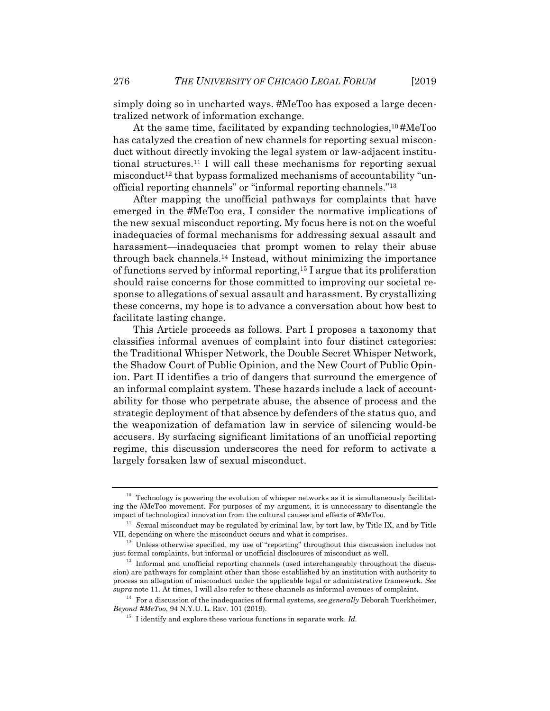simply doing so in uncharted ways. #MeToo has exposed a large decentralized network of information exchange.

At the same time, facilitated by expanding technologies,<sup>10</sup>#MeToo has catalyzed the creation of new channels for reporting sexual misconduct without directly invoking the legal system or law-adjacent institutional structures.11 I will call these mechanisms for reporting sexual misconduct<sup>12</sup> that bypass formalized mechanisms of accountability "unofficial reporting channels" or "informal reporting channels."13

After mapping the unofficial pathways for complaints that have emerged in the #MeToo era, I consider the normative implications of the new sexual misconduct reporting. My focus here is not on the woeful inadequacies of formal mechanisms for addressing sexual assault and harassment—inadequacies that prompt women to relay their abuse through back channels.14 Instead, without minimizing the importance of functions served by informal reporting,15 I argue that its proliferation should raise concerns for those committed to improving our societal response to allegations of sexual assault and harassment. By crystallizing these concerns, my hope is to advance a conversation about how best to facilitate lasting change.

This Article proceeds as follows. Part I proposes a taxonomy that classifies informal avenues of complaint into four distinct categories: the Traditional Whisper Network, the Double Secret Whisper Network, the Shadow Court of Public Opinion, and the New Court of Public Opinion. Part II identifies a trio of dangers that surround the emergence of an informal complaint system. These hazards include a lack of accountability for those who perpetrate abuse, the absence of process and the strategic deployment of that absence by defenders of the status quo, and the weaponization of defamation law in service of silencing would-be accusers. By surfacing significant limitations of an unofficial reporting regime, this discussion underscores the need for reform to activate a largely forsaken law of sexual misconduct.

 $10$  Technology is powering the evolution of whisper networks as it is simultaneously facilitating the #MeToo movement. For purposes of my argument, it is unnecessary to disentangle the

impact of technological innovation from the cultural causes and effects of #MeToo.<br><sup>11</sup> Sexual misconduct may be regulated by criminal law, by tort law, by Title IX, and by Title<br>VII, depending on where the misconduct occu

 $12$  Unless otherwise specified, my use of "reporting" throughout this discussion includes not just formal complaints, but informal or unofficial disclosures of misconduct as well.

 $13$  Informal and unofficial reporting channels (used interchangeably throughout the discussion) are pathways for complaint other than those established by an institution with authority to process an allegation of misconduct under the applicable legal or administrative framework. *See* 

<sup>&</sup>lt;sup>14</sup> For a discussion of the inadequacies of formal systems, *see generally* Deborah Tuerkheimer, *Beyond #MeToo*, 94 N.Y.U. L. REV. 101 (2019).<br><sup>15</sup> I identify and explore these various functions in separate work. *Id.*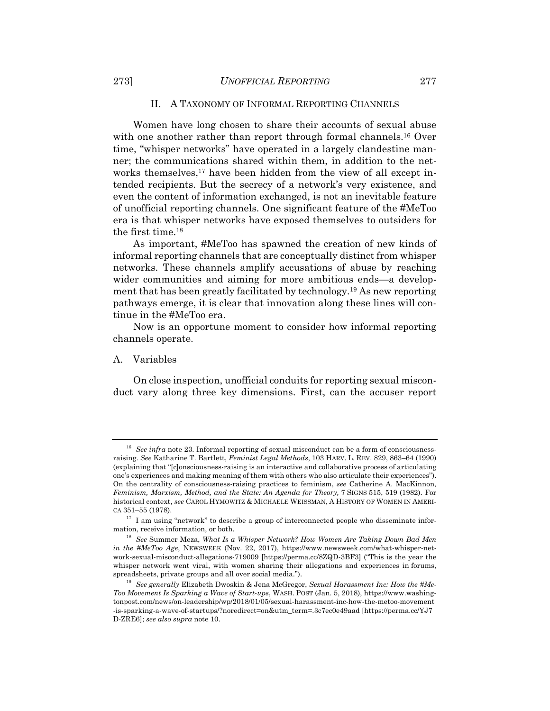#### II. A TAXONOMY OF INFORMAL REPORTING CHANNELS

Women have long chosen to share their accounts of sexual abuse with one another rather than report through formal channels.<sup>16</sup> Over time, "whisper networks" have operated in a largely clandestine manner; the communications shared within them, in addition to the networks themselves,<sup>17</sup> have been hidden from the view of all except intended recipients. But the secrecy of a network's very existence, and even the content of information exchanged, is not an inevitable feature of unofficial reporting channels. One significant feature of the #MeToo era is that whisper networks have exposed themselves to outsiders for the first time.18

As important, #MeToo has spawned the creation of new kinds of informal reporting channels that are conceptually distinct from whisper networks. These channels amplify accusations of abuse by reaching wider communities and aiming for more ambitious ends—a development that has been greatly facilitated by technology.19 As new reporting pathways emerge, it is clear that innovation along these lines will continue in the #MeToo era.

Now is an opportune moment to consider how informal reporting channels operate.

#### A. Variables

On close inspection, unofficial conduits for reporting sexual misconduct vary along three key dimensions. First, can the accuser report

<sup>&</sup>lt;sup>16</sup> See infra note 23. Informal reporting of sexual misconduct can be a form of consciousnessraising. *See* Katharine T. Bartlett, *Feminist Legal Methods*, 103 HARV. L. REV. 829, 863–64 (1990) (explaining that "[c]onsciousness-raising is an interactive and collaborative process of articulating one's experiences and making meaning of them with others who also articulate their experiences"). On the centrality of consciousness-raising practices to feminism, *see* Catherine A. MacKinnon, *Feminism, Marxism, Method, and the State: An Agenda for Theory,* 7 SIGNS 515, 519 (1982). For historical context, *see* CAROL HYMOWITZ & MICHAELE WEISSMAN, A HISTORY OF WOMEN IN AMERI-CA 351–55 (1978).

 $17$  I am using "network" to describe a group of interconnected people who disseminate information, receive information, or both.

<sup>&</sup>lt;sup>18</sup> See Summer Meza, *What Is a Whisper Network? How Women Are Taking Down Bad Men in the #MeToo Age*, NEWSWEEK (Nov. 22, 2017), https://www.newsweek.com/what-whisper-network-sexual-misconduct-allegations-719009 [https://perma.cc/8ZQD-3BF3] ("This is the year the whisper network went viral, with women sharing their allegations and experiences in forums, spreadsheets, private groups and all over social media."). 19 *See generally* Elizabeth Dwoskin & Jena McGregor, *Sexual Harassment Inc: How the #Me-*

*Too Movement Is Sparking a Wave of Start-ups*, WASH. POST (Jan. 5, 2018), https://www.washingtonpost.com/news/on-leadership/wp/2018/01/05/sexual-harassment-inc-how-the-metoo-movement -is-sparking-a-wave-of-startups/?noredirect=on&utm\_term=.3c7ec0e49aad [https://perma.cc/YJ7 D-ZRE6]; *see also supra* note 10.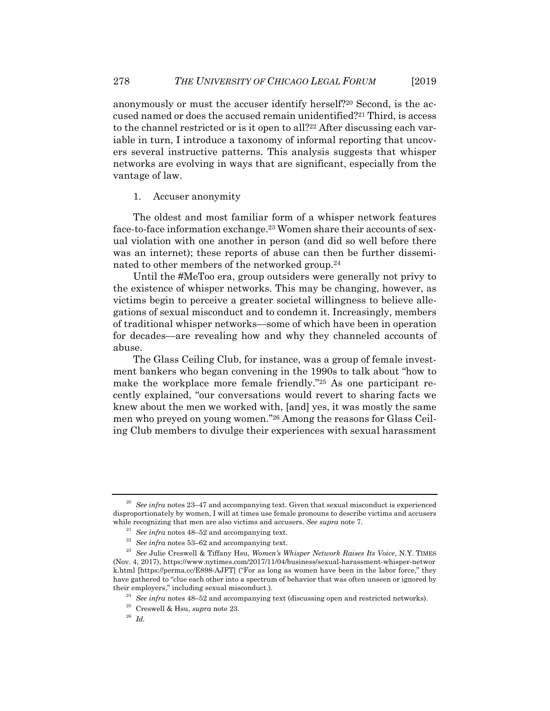anonymously or must the accuser identify herself?20 Second, is the accused named or does the accused remain unidentified?21 Third, is access to the channel restricted or is it open to all?<sup>22</sup> After discussing each variable in turn, I introduce a taxonomy of informal reporting that uncovers several instructive patterns. This analysis suggests that whisper networks are evolving in ways that are significant, especially from the vantage of law.

#### 1. Accuser anonymity

The oldest and most familiar form of a whisper network features face-to-face information exchange.23 Women share their accounts of sexual violation with one another in person (and did so well before there was an internet); these reports of abuse can then be further disseminated to other members of the networked group.<sup>24</sup>

Until the #MeToo era, group outsiders were generally not privy to the existence of whisper networks. This may be changing, however, as victims begin to perceive a greater societal willingness to believe allegations of sexual misconduct and to condemn it. Increasingly, members of traditional whisper networks—some of which have been in operation for decades—are revealing how and why they channeled accounts of abuse.

The Glass Ceiling Club, for instance, was a group of female investment bankers who began convening in the 1990s to talk about "how to make the workplace more female friendly."25 As one participant recently explained, "our conversations would revert to sharing facts we knew about the men we worked with, [and] yes, it was mostly the same men who preyed on young women."26 Among the reasons for Glass Ceiling Club members to divulge their experiences with sexual harassment

<sup>&</sup>lt;sup>20</sup> See infra notes 23–47 and accompanying text. Given that sexual misconduct is experienced disproportionately by women, I will at times use female pronouns to describe victims and accusers while recognizing that men are also victims and accusers. See supra note 7.<br><sup>21</sup> See infra notes 48–52 and accompanying text.<br><sup>22</sup> See infra notes 53–62 and accompanying text.<br><sup>23</sup> See Julie Creswell & Tiffany Hsu, *Women* 

<sup>(</sup>Nov. 4, 2017), https://www.nytimes.com/2017/11/04/business/sexual-harassment-whisper-networ k.html [https://perma.cc/E898-AJFT] ("For as long as women have been in the labor force," they have gathered to "clue each other into a spectrum of behavior that was often unseen or ignored by their employers," including sexual misconduct.).<br><sup>24</sup> See infra notes 48–52 and accompanying text (discussing open and restricted networks).<br><sup>25</sup> Creswell & Hsu, *supra* note 23.<br><sup>26</sup> *Id.*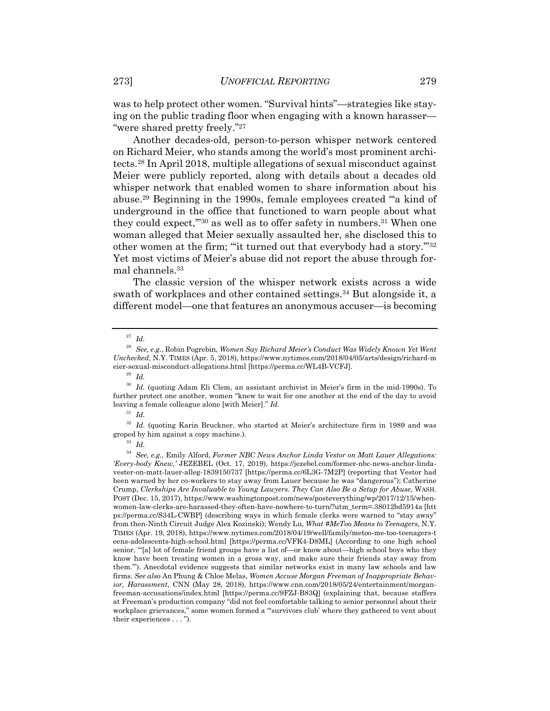was to help protect other women. "Survival hints"—strategies like staying on the public trading floor when engaging with a known harasser— "were shared pretty freely."27

Another decades-old, person-to-person whisper network centered on Richard Meier, who stands among the world's most prominent architects.28 In April 2018, multiple allegations of sexual misconduct against Meier were publicly reported, along with details about a decades old whisper network that enabled women to share information about his abuse.29 Beginning in the 1990s, female employees created "'a kind of underground in the office that functioned to warn people about what they could expect,"<sup>30</sup> as well as to offer safety in numbers.<sup>31</sup> When one woman alleged that Meier sexually assaulted her, she disclosed this to other women at the firm; "it turned out that everybody had a story."32 Yet most victims of Meier's abuse did not report the abuse through formal channels.33

The classic version of the whisper network exists across a wide swath of workplaces and other contained settings.34 But alongside it, a different model—one that features an anonymous accuser—is becoming

<sup>27</sup> *Id.*

<sup>28</sup> *See, e.g.*, Robin Pogrebin, *Women Say Richard Meier's Conduct Was Widely Known Yet Went Unchecked*, N.Y. TIMES (Apr. 5, 2018), https://www.nytimes.com/2018/04/05/arts/design/richard-m eier-sexual-misconduct-allegations.html [https://perma.cc/WL4B-VCFJ].

<sup>29</sup> *Id.*

<sup>30</sup> *Id.* (quoting Adam Eli Clem, an assistant archivist in Meier's firm in the mid-1990s). To further protect one another, women "knew to wait for one another at the end of the day to avoid leaving a female colleague alone [with Meier]." *Id.*

<sup>31</sup> *Id.*

<sup>&</sup>lt;sup>32</sup> Id. (quoting Karin Bruckner, who started at Meier's architecture firm in 1989 and was groped by him against a copy machine.). 33 *Id.*

<sup>34</sup> *See, e.g.*, Emily Alford, *Former NBC News Anchor Linda Vestor on Matt Lauer Allegations: 'Every-body Knew,'* JEZEBEL (Oct. 17, 2019), https://jezebel.com/former-nbc-news-anchor-lindavester-on-matt-lauer-alleg-1839150737 [https://perma.cc/6L3G-7M2P] (reporting that Vestor had been warned by her co-workers to stay away from Lauer because he was "dangerous"); Catherine Crump, *Clerkships Are Invaluable to Young Lawyers. They Can Also Be a Setup for Abuse*, WASH. POST (Dec. 15, 2017), https://www.washingtonpost.com/news/posteverything/wp/2017/12/15/whenwomen-law-clerks-are-harassed-they-often-have-nowhere-to-turn/?utm\_term=.38012bd5914a [htt ps://perma.cc/S34L-CWBP] (describing ways in which female clerks were warned to "stay away" from then-Ninth Circuit Judge Alex Kozinski); Wendy Lu, *What #MeToo Means to Teenagers*, N.Y. TIMES (Apr. 19, 2018), https://www.nytimes.com/2018/04/19/well/family/metoo-me-too-teenagers-t eens-adolescents-high-school.html [https://perma.cc/VFK4-D8ML] (According to one high school senior, "'[a] lot of female friend groups have a list of—or know about—high school boys who they know have been treating women in a gross way, and make sure their friends stay away from them.'"). Anecdotal evidence suggests that similar networks exist in many law schools and law firms. *See also* An Phung & Chloe Melas, *Women Accuse Morgan Freeman of Inappropriate Behavior, Harassment,* CNN (May 28, 2018), https://www.cnn.com/2018/05/24/entertainment/morganfreeman-accusations/index.html [https://perma.cc/9FZJ-B83Q] (explaining that, because staffers at Freeman's production company "did not feel comfortable talking to senior personnel about their workplace grievances," some women formed a "'survivors club' where they gathered to vent about their experiences . . . ").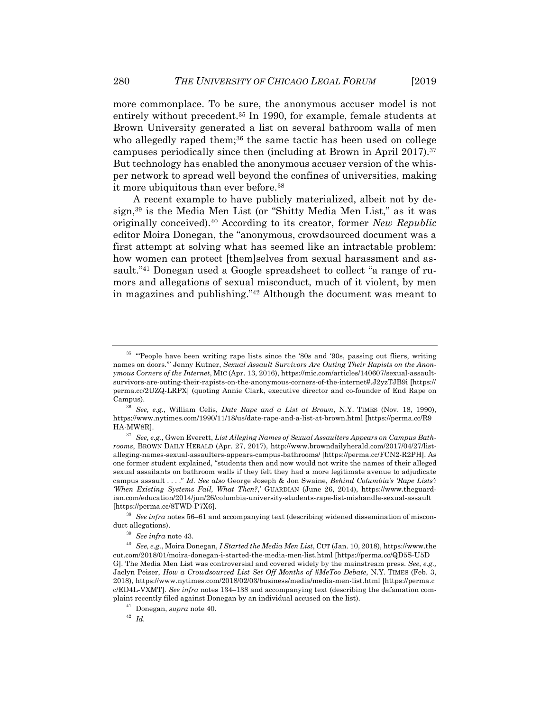more commonplace. To be sure, the anonymous accuser model is not entirely without precedent.35 In 1990, for example, female students at Brown University generated a list on several bathroom walls of men who allegedly raped them;<sup>36</sup> the same tactic has been used on college campuses periodically since then (including at Brown in April 2017).37 But technology has enabled the anonymous accuser version of the whisper network to spread well beyond the confines of universities, making it more ubiquitous than ever before.38

A recent example to have publicly materialized, albeit not by design,39 is the Media Men List (or "Shitty Media Men List," as it was originally conceived).40 According to its creator, former *New Republic* editor Moira Donegan, the "anonymous, crowdsourced document was a first attempt at solving what has seemed like an intractable problem: how women can protect [them]selves from sexual harassment and assault."41 Donegan used a Google spreadsheet to collect "a range of rumors and allegations of sexual misconduct, much of it violent, by men in magazines and publishing."42 Although the document was meant to

<sup>&</sup>lt;sup>35</sup> "People have been writing rape lists since the '80s and '90s, passing out fliers, writing names on doors.'" Jenny Kutner, *Sexual Assault Survivors Are Outing Their Rapists on the Anonymous Corners of the Internet*, MIC (Apr. 13, 2016), https://mic.com/articles/140607/sexual-assaultsurvivors-are-outing-their-rapists-on-the-anonymous-corners-of-the-internet#.J2yzTJB9i [https:// perma.cc/2UZQ-LRPX] (quoting Annie Clark, executive director and co-founder of End Rape on Campus). 36 *See, e.g.*, William Celis, *Date Rape and a List at Brown*, N.Y. TIMES (Nov. 18, 1990),

https://www.nytimes.com/1990/11/18/us/date-rape-and-a-list-at-brown.html [https://perma.cc/R9

HA-MW8R]. 37 *See, e.g.*, Gwen Everett, *List Alleging Names of Sexual Assaulters Appears on Campus Bathrooms*, BROWN DAILY HERALD (Apr. 27, 2017), http://www.browndailyherald.com/2017/04/27/listalleging-names-sexual-assaulters-appears-campus-bathrooms/ [https://perma.cc/FCN2-R2PH]. As one former student explained, "students then and now would not write the names of their alleged sexual assailants on bathroom walls if they felt they had a more legitimate avenue to adjudicate campus assault . . . ." *Id. See also* George Joseph & Jon Swaine, *Behind Columbia's 'Rape Lists': 'When Existing Systems Fail, What Then?*,' GUARDIAN (June 26, 2014), https://www.theguardian.com/education/2014/jun/26/columbia-university-students-rape-list-mishandle-sexual-assault

<sup>[</sup>https://perma.cc/8TWD-P7X6]. 38 *See infra* notes 56–61 and accompanying text (describing widened dissemination of misconduct allegations). 39 *See infra* note 43. 40 *See, e.g.*, Moira Donegan, *I Started the Media Men List*, CUT (Jan. 10, 2018), https://www.the

cut.com/2018/01/moira-donegan-i-started-the-media-men-list.html [https://perma.cc/QD5S-U5D G]. The Media Men List was controversial and covered widely by the mainstream press. *See*, *e.g.,* Jaclyn Peiser, *How a Crowdsourced List Set Off Months of #MeToo Debate*, N.Y. TIMES (Feb. 3, 2018), https://www.nytimes.com/2018/02/03/business/media/media-men-list.html [https://perma.c c/ED4L-VXMT]. *See infra* notes 134–138 and accompanying text (describing the defamation complaint recently filed against Donegan by an individual accused on the list). 41 Donegan, *supra* note 40. 42 *Id.*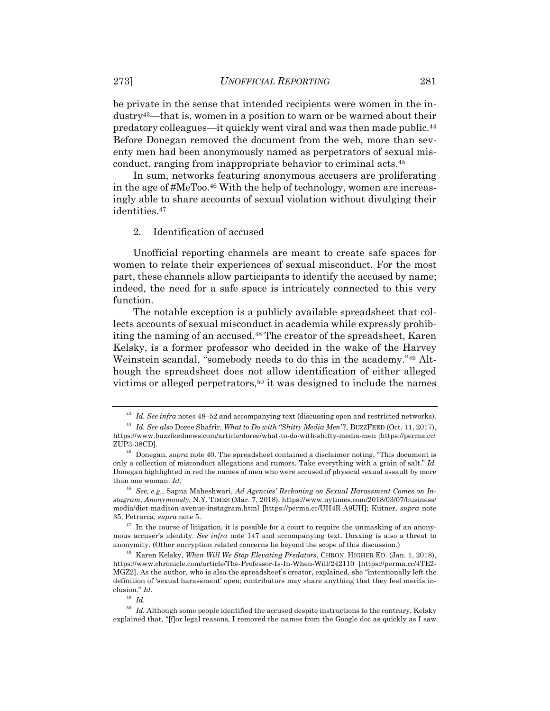be private in the sense that intended recipients were women in the industry43—that is, women in a position to warn or be warned about their predatory colleagues—it quickly went viral and was then made public.44 Before Donegan removed the document from the web, more than seventy men had been anonymously named as perpetrators of sexual misconduct, ranging from inappropriate behavior to criminal acts.45

In sum, networks featuring anonymous accusers are proliferating in the age of #MeToo.46 With the help of technology, women are increasingly able to share accounts of sexual violation without divulging their identities.47

2. Identification of accused

Unofficial reporting channels are meant to create safe spaces for women to relate their experiences of sexual misconduct. For the most part, these channels allow participants to identify the accused by name; indeed, the need for a safe space is intricately connected to this very function.

The notable exception is a publicly available spreadsheet that collects accounts of sexual misconduct in academia while expressly prohibiting the naming of an accused.48 The creator of the spreadsheet, Karen Kelsky, is a former professor who decided in the wake of the Harvey Weinstein scandal, "somebody needs to do this in the academy."49 Although the spreadsheet does not allow identification of either alleged victims or alleged perpetrators,<sup>50</sup> it was designed to include the names

<sup>49</sup> *Id.*

<sup>&</sup>lt;sup>43</sup> Id. See infra notes 48–52 and accompanying text (discussing open and restricted networks).<br><sup>44</sup> Id. See also Doree Shafrir, *What to Do with "Shitty Media Men"?*, BUZZFEED (Oct. 11, 2017),

https://www.buzzfeednews.com/article/doree/what-to-do-with-shitty-media-men [https://perma.cc/

 $^{45}$  Donegan, *supra* note 40. The spreadsheet contained a disclaimer noting, "This document is only a collection of misconduct allegations and rumors. Take everything with a grain of salt." *Id.* Donegan highlighted in red the names of men who were accused of physical sexual assault by more than one woman. *Id.*

<sup>46</sup> *See, e.g.*, Sapna Maheshwari, *Ad Agencies' Reckoning on Sexual Harassment Comes on Instagram, Anonymously*, N.Y. TIMES (Mar. 7, 2018), https://www.nytimes.com/2018/03/07/business/ media/diet-madison-avenue-instagram.html [https://perma.cc/UH4R-A9UH]; Kutner, *supra* note 35; Petrarca, *supra* note 5. 47 In the course of litigation, it is possible for a court to require the unmasking of an anony-

mous accuser's identity. *See infra* note 147 and accompanying text. Doxxing is also a threat to anonymity. (Other encryption related concerns lie beyond the scope of this discussion.) 48 Karen Kelsky, *When Will We Stop Elevating Predators*, CHRON. HIGHER ED. (Jan. 1, 2018),

https://www.chronicle.com/article/The-Professor-Is-In-When-Will/242110 [https://perma.cc/4TE2- MGZ2]. As the author, who is also the spreadsheet's creator, explained, she "intentionally left the definition of 'sexual harassment' open; contributors may share anything that they feel merits inclusion." *Id.*

 $50$  *Id.* Although some people identified the accused despite instructions to the contrary, Kelsky explained that, "[flor legal reasons, I removed the names from the Google doc as quickly as I saw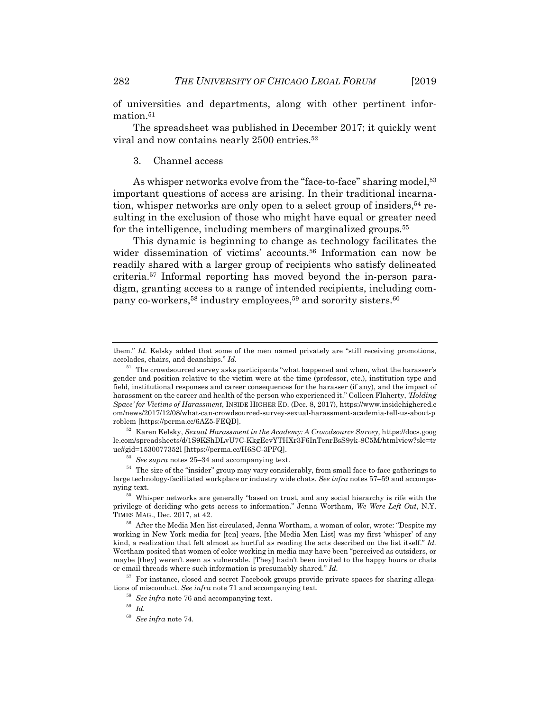of universities and departments, along with other pertinent infor-

The spreadsheet was published in December 2017; it quickly went viral and now contains nearly 2500 entries.52

#### 3. Channel access

mation.<sup>51</sup>

As whisper networks evolve from the "face-to-face" sharing model,<sup>53</sup> important questions of access are arising. In their traditional incarnation, whisper networks are only open to a select group of insiders,54 resulting in the exclusion of those who might have equal or greater need for the intelligence, including members of marginalized groups.55

This dynamic is beginning to change as technology facilitates the wider dissemination of victims' accounts.<sup>56</sup> Information can now be readily shared with a larger group of recipients who satisfy delineated criteria.57 Informal reporting has moved beyond the in-person paradigm, granting access to a range of intended recipients, including company co-workers,<sup>58</sup> industry employees,<sup>59</sup> and sorority sisters.<sup>60</sup>

le.com/spreadsheets/d/1S9KShDLvU7C-KkgEevYTHXr3F6InTenrBsS9yk-8C5M/htmlview?sle=tr

them." *Id.* Kelsky added that some of the men named privately are "still receiving promotions, accolades, chairs, and deanships." *Id.*

 $^{51}\,$  The crowdsourced survey asks participants "what happened and when, what the harasser's gender and position relative to the victim were at the time (professor, etc.), institution type and field, institutional responses and career consequences for the harasser (if any), and the impact of harassment on the career and health of the person who experienced it." Colleen Flaherty, *'Holding Space' for Victims of Harassment*, INSIDE HIGHER ED. (Dec. 8, 2017), https://www.insidehighered.c om/news/2017/12/08/what-can-crowdsourced-survey-sexual-harassment-academia-tell-us-about-p roblem [https://perma.cc/6AZ5-FEQD].<br><sup>52</sup> Karen Kelsky, *Sexual Harassment in the Academy: A Crowdsource Survey*, https://docs.goog

<sup>&</sup>lt;sup>53</sup> See supra notes 25–34 and accompanying text.<br><sup>54</sup> The size of the "insider" group may vary considerably, from small face-to-face gatherings to large technology-facilitated workplace or industry wide chats. *See infra* notes 57–59 and accompanying text. 55 Whisper networks are generally "based on trust, and any social hierarchy is rife with the

privilege of deciding who gets access to information." Jenna Wortham, *We Were Left Out*, N.Y. TIMES MAG., Dec. 2017, at 42. 56 After the Media Men list circulated, Jenna Wortham, a woman of color, wrote: "Despite my

working in New York media for [ten] years, [the Media Men List] was my first 'whisper' of any kind, a realization that felt almost as hurtful as reading the acts described on the list itself." *Id.* Wortham posited that women of color working in media may have been "perceived as outsiders, or maybe [they] weren't seen as vulnerable. [They] hadn't been invited to the happy hours or chats or email threads where such information is presumably shared." *Id.*

<sup>&</sup>lt;sup>57</sup> For instance, closed and secret Facebook groups provide private spaces for sharing allegations of misconduct. *See infra* note 71 and accompanying text.<br><sup>58</sup> *See infra* note 76 and accompanying text.<br><sup>59</sup> *Id.* 

<sup>60</sup> *See infra* note 74.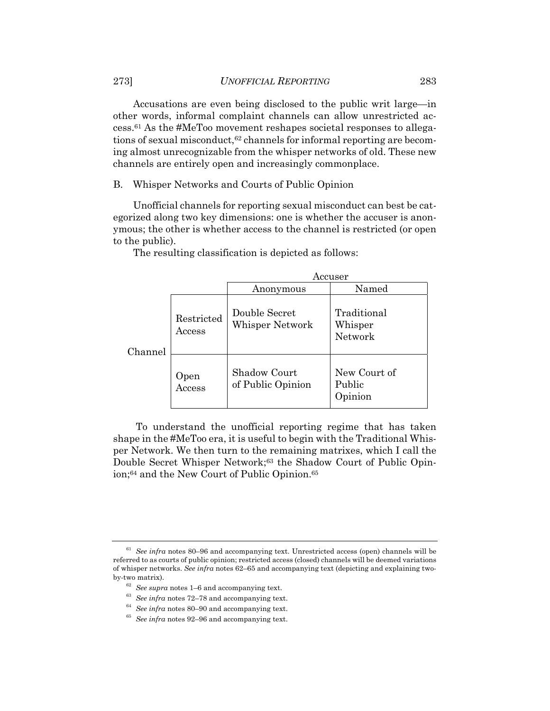Accusations are even being disclosed to the public writ large—in other words, informal complaint channels can allow unrestricted access.61 As the #MeToo movement reshapes societal responses to allegations of sexual misconduct,<sup>62</sup> channels for informal reporting are becoming almost unrecognizable from the whisper networks of old. These new channels are entirely open and increasingly commonplace.

B. Whisper Networks and Courts of Public Opinion

Unofficial channels for reporting sexual misconduct can best be categorized along two key dimensions: one is whether the accuser is anonymous; the other is whether access to the channel is restricted (or open to the public).

The resulting classification is depicted as follows:

|         |                            | Accuser                           |                                   |  |
|---------|----------------------------|-----------------------------------|-----------------------------------|--|
|         |                            | Anonymous                         | Named                             |  |
| Channel | Restricted<br>$\rm Access$ | Double Secret<br>Whisper Network  | Traditional<br>Whisper<br>Network |  |
|         | Open<br>Access             | Shadow Court<br>of Public Opinion | New Court of<br>Public<br>Opinion |  |

 To understand the unofficial reporting regime that has taken shape in the #MeToo era, it is useful to begin with the Traditional Whisper Network. We then turn to the remaining matrixes, which I call the Double Secret Whisper Network;<sup>63</sup> the Shadow Court of Public Opinion;64 and the New Court of Public Opinion.65

<sup>61</sup> *See infra* notes 80–96 and accompanying text. Unrestricted access (open) channels will be referred to as courts of public opinion; restricted access (closed) channels will be deemed variations of whisper networks. *See infra* notes 62–65 and accompanying text (depicting and explaining twoby-two matrix).<br><sup>62</sup> See supra notes 1–6 and accompanying text.<br><sup>63</sup> See infra notes 72–78 and accompanying text.<br><sup>64</sup> See infra notes 80–90 and accompanying text.<br><sup>65</sup> See infra notes 92–96 and accompanying text.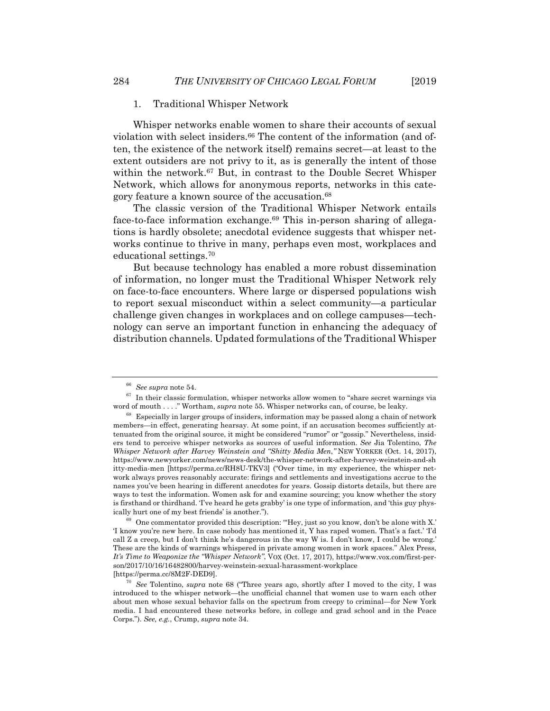#### 1. Traditional Whisper Network

Whisper networks enable women to share their accounts of sexual violation with select insiders.<sup>66</sup> The content of the information (and often, the existence of the network itself) remains secret—at least to the extent outsiders are not privy to it, as is generally the intent of those within the network.67 But, in contrast to the Double Secret Whisper Network, which allows for anonymous reports, networks in this category feature a known source of the accusation.68

The classic version of the Traditional Whisper Network entails face-to-face information exchange.69 This in-person sharing of allegations is hardly obsolete; anecdotal evidence suggests that whisper networks continue to thrive in many, perhaps even most, workplaces and educational settings.70

But because technology has enabled a more robust dissemination of information, no longer must the Traditional Whisper Network rely on face-to-face encounters. Where large or dispersed populations wish to report sexual misconduct within a select community—a particular challenge given changes in workplaces and on college campuses—technology can serve an important function in enhancing the adequacy of distribution channels. Updated formulations of the Traditional Whisper

<sup>&</sup>lt;sup>66</sup> See supra note 54.<br><sup>67</sup> In their classic formulation, whisper networks allow women to "share secret warnings via<br>word of mouth . . . . " Wortham, *supra* note 55. Whisper networks can, of course, be leaky.

<sup>&</sup>lt;sup>68</sup> Especially in larger groups of insiders, information may be passed along a chain of network members—in effect, generating hearsay. At some point, if an accusation becomes sufficiently attenuated from the original source, it might be considered "rumor" or "gossip." Nevertheless, insiders tend to perceive whisper networks as sources of useful information. *See* Jia Tolentino, *The Whisper Network after Harvey Weinstein and "Shitty Media Men*,*"* NEW YORKER (Oct. 14, 2017), https://www.newyorker.com/news/news-desk/the-whisper-network-after-harvey-weinstein-and-sh itty-media-men [https://perma.cc/RH8U-TKV3] ("Over time, in my experience, the whisper network always proves reasonably accurate: firings and settlements and investigations accrue to the names you've been hearing in different anecdotes for years. Gossip distorts details, but there are ways to test the information. Women ask for and examine sourcing; you know whether the story is firsthand or thirdhand. 'I've heard he gets grabby' is one type of information, and 'this guy physically hurt one of my best friends' is another.").<br><sup>69</sup> One commentator provided this description: "Hey, just so you know, don't be alone with X."

<sup>&#</sup>x27;I know you're new here. In case nobody has mentioned it, Y has raped women. That's a fact.' 'I'd call Z a creep, but I don't think he's dangerous in the way W is. I don't know, I could be wrong.' These are the kinds of warnings whispered in private among women in work spaces." Alex Press, *It's Time to Weaponize the "Whisper Network"*, VOX (Oct. 17, 2017), https://www.vox.com/first-person/2017/10/16/16482800/harvey-weinstein-sexual-harassment-workplace

<sup>[</sup>https://perma.cc/8M2F-DED9]. 70 *See* Tolentino, *supra* note 68 ("Three years ago, shortly after I moved to the city, I was introduced to the whisper network—the unofficial channel that women use to warn each other about men whose sexual behavior falls on the spectrum from creepy to criminal—for New York media. I had encountered these networks before, in college and grad school and in the Peace Corps."). *See, e.g.*, Crump, *supra* note 34.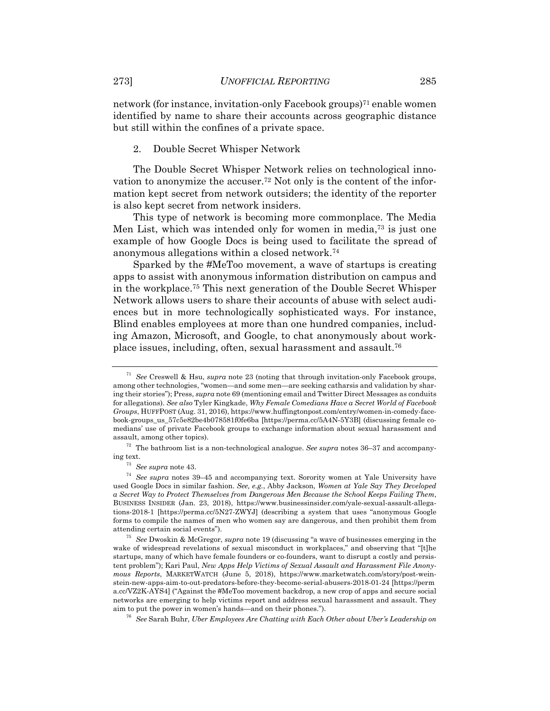network (for instance, invitation-only Facebook groups)<sup>71</sup> enable women identified by name to share their accounts across geographic distance but still within the confines of a private space.

#### 2. Double Secret Whisper Network

The Double Secret Whisper Network relies on technological innovation to anonymize the accuser.72 Not only is the content of the information kept secret from network outsiders; the identity of the reporter is also kept secret from network insiders.

This type of network is becoming more commonplace. The Media Men List, which was intended only for women in media,73 is just one example of how Google Docs is being used to facilitate the spread of anonymous allegations within a closed network.74

Sparked by the #MeToo movement, a wave of startups is creating apps to assist with anonymous information distribution on campus and in the workplace.75 This next generation of the Double Secret Whisper Network allows users to share their accounts of abuse with select audiences but in more technologically sophisticated ways. For instance, Blind enables employees at more than one hundred companies, including Amazon, Microsoft, and Google, to chat anonymously about workplace issues, including, often, sexual harassment and assault.76

<sup>71</sup> *See* Creswell & Hsu, *supra* note 23 (noting that through invitation-only Facebook groups, among other technologies, "women—and some men—are seeking catharsis and validation by sharing their stories"); Press, *supra* note 69 (mentioning email and Twitter Direct Messages as conduits for allegations). *See also* Tyler Kingkade, *Why Female Comedians Have a Secret World of Facebook Groups*, HUFFPOST (Aug. 31, 2016), https://www.huffingtonpost.com/entry/women-in-comedy-facebook-groups\_us\_57c5e82be4b078581f0fe6ba [https://perma.cc/5A4N-5Y3B] (discussing female comedians' use of private Facebook groups to exchange information about sexual harassment and

assault, among other topics). 72 The bathroom list is a non-technological analogue. *See supra* notes 36–37 and accompany-

ing text. 73 *See supra* note 43. 74 *See supra* notes 39–45 and accompanying text. Sorority women at Yale University have used Google Docs in similar fashion. *See, e.g.*, Abby Jackson, *Women at Yale Say They Developed a Secret Way to Protect Themselves from Dangerous Men Because the School Keeps Failing Them*, BUSINESS INSIDER (Jan. 23, 2018), https://www.businessinsider.com/yale-sexual-assault-allegations-2018-1 [https://perma.cc/5N27-ZWYJ] (describing a system that uses "anonymous Google forms to compile the names of men who women say are dangerous, and then prohibit them from attending certain social events"). 75 *See* Dwoskin & McGregor, *supra* note 19 (discussing "a wave of businesses emerging in the

wake of widespread revelations of sexual misconduct in workplaces," and observing that "[t]he startups, many of which have female founders or co-founders, want to disrupt a costly and persistent problem"); Kari Paul, *New Apps Help Victims of Sexual Assault and Harassment File Anonymous Reports*, MARKETWATCH (June 5, 2018), https://www.marketwatch.com/story/post-weinstein-new-apps-aim-to-out-predators-before-they-become-serial-abusers-2018-01-24 [https://perm a.cc/VZ2K-AYS4] ("Against the #MeToo movement backdrop, a new crop of apps and secure social networks are emerging to help victims report and address sexual harassment and assault. They aim to put the power in women's hands—and on their phones."). 76 *See* Sarah Buhr, *Uber Employees Are Chatting with Each Other about Uber's Leadership on*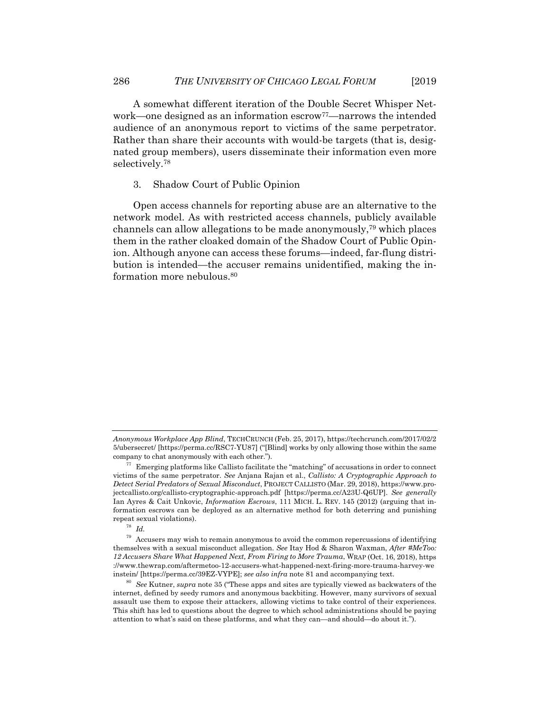A somewhat different iteration of the Double Secret Whisper Network—one designed as an information escrow77—narrows the intended audience of an anonymous report to victims of the same perpetrator. Rather than share their accounts with would-be targets (that is, designated group members), users disseminate their information even more selectively.78

#### 3. Shadow Court of Public Opinion

Open access channels for reporting abuse are an alternative to the network model. As with restricted access channels, publicly available channels can allow allegations to be made anonymously,79 which places them in the rather cloaked domain of the Shadow Court of Public Opinion. Although anyone can access these forums—indeed, far-flung distribution is intended—the accuser remains unidentified, making the information more nebulous.<sup>80</sup>

*Anonymous Workplace App Blind*, TECHCRUNCH (Feb. 25, 2017), https://techcrunch.com/2017/02/2 5/ubersecret/ [https://perma.cc/RSC7-YU87] ("[Blind] works by only allowing those within the same company to chat anonymously with each other."). 77 Emerging platforms like Callisto facilitate the "matching" of accusations in order to connect

victims of the same perpetrator. *See* Anjana Rajan et al., *Callisto: A Cryptographic Approach to Detect Serial Predators of Sexual Misconduct*, PROJECT CALLISTO (Mar. 29, 2018), https://www.projectcallisto.org/callisto-cryptographic-approach.pdf [https://perma.cc/A23U-Q6UP]. *See generally* Ian Ayres & Cait Unkovic, *Information Escrows*, 111 MICH. L. REV. 145 (2012) (arguing that information escrows can be deployed as an alternative method for both deterring and punishing repeat sexual violations). 78 *Id.*

 $^{79}\,$  Accusers may wish to remain anonymous to avoid the common repercussions of identifying themselves with a sexual misconduct allegation. *See* Itay Hod & Sharon Waxman, *After #MeToo: 12 Accusers Share What Happened Next, From Firing to More Trauma*, WRAP (Oct. 16, 2018), https ://www.thewrap.com/aftermetoo-12-accusers-what-happened-next-firing-more-trauma-harvey-we<br>instein/ [https://perma.cc/39EZ-VYPE]; see also infra note 81 and accompanying text.

See Kutner, *supra* note 35 ("These apps and sites are typically viewed as backwaters of the internet, defined by seedy rumors and anonymous backbiting. However, many survivors of sexual assault use them to expose their attackers, allowing victims to take control of their experiences. This shift has led to questions about the degree to which school administrations should be paying attention to what's said on these platforms, and what they can—and should—do about it.").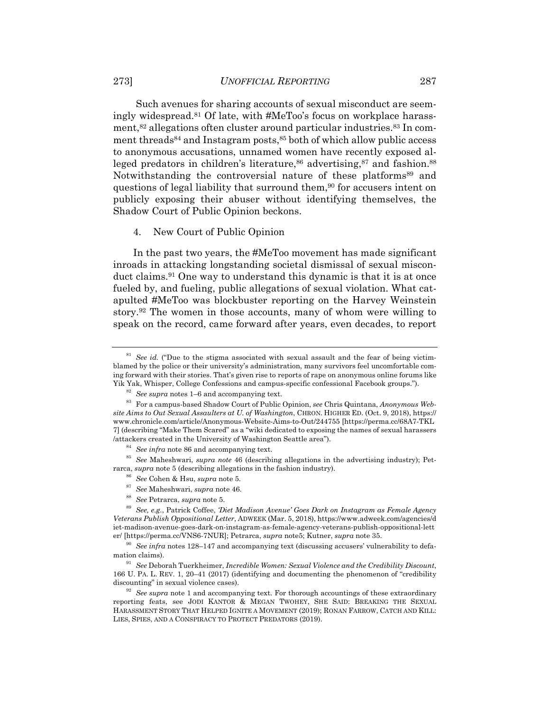Such avenues for sharing accounts of sexual misconduct are seemingly widespread.81 Of late, with #MeToo's focus on workplace harassment,<sup>82</sup> allegations often cluster around particular industries.<sup>83</sup> In comment threads<sup>84</sup> and Instagram posts, <sup>85</sup> both of which allow public access to anonymous accusations, unnamed women have recently exposed alleged predators in children's literature, $86$  advertising, $87$  and fashion. $88$ Notwithstanding the controversial nature of these platforms<sup>89</sup> and questions of legal liability that surround them,<sup>90</sup> for accusers intent on publicly exposing their abuser without identifying themselves, the Shadow Court of Public Opinion beckons.

4. New Court of Public Opinion

In the past two years, the #MeToo movement has made significant inroads in attacking longstanding societal dismissal of sexual misconduct claims.91 One way to understand this dynamic is that it is at once fueled by, and fueling, public allegations of sexual violation. What catapulted #MeToo was blockbuster reporting on the Harvey Weinstein story.92 The women in those accounts, many of whom were willing to speak on the record, came forward after years, even decades, to report

- 
- 

<sup>&</sup>lt;sup>81</sup> See id. ("Due to the stigma associated with sexual assault and the fear of being victimblamed by the police or their university's administration, many survivors feel uncomfortable coming forward with their stories. That's given rise to reports of rape on anonymous online forums like<br>Yik Yak, Whisper, College Confessions and campus-specific confessional Facebook groups.").

<sup>&</sup>lt;sup>82</sup> See supra notes 1–6 and accompanying text.<br><sup>83</sup> For a campus-based Shadow Court of Public Opinion, see Chris Quintana, Anonymous Web*site Aims to Out Sexual Assaulters at U. of Washington*, CHRON. HIGHER ED. (Oct. 9, 2018), https:// www.chronicle.com/article/Anonymous-Website-Aims-to-Out/244755 [https://perma.cc/68A7-TKL 7] (describing "Make Them Scared" as a "wiki dedicated to exposing the names of sexual harassers

<sup>&</sup>lt;sup>84</sup> See infra note 86 and accompanying text.<br><sup>85</sup> See Maheshwari, *supra note* 46 (describing allegations in the advertising industry); Pet-<br>rarca, *supra* note 5 (describing allegations in the fashion industry).

<sup>&</sup>lt;sup>86</sup> See Cohen & Hsu, *supra* note 5.<br><sup>87</sup> See Maheshwari, *supra* note 46.<br><sup>88</sup> See Petrarca, *supra* note 5.<br><sup>89</sup> See, e.g., Patrick Coffee, *Diet Madison Avenue'* Goes Dark on Instagram as Female Agency *Veterans Publish Oppositional Letter*, ADWEEK (Mar. 5, 2018), https://www.adweek.com/agencies/d iet-madison-avenue-goes-dark-on-instagram-as-female-agency-veterans-publish-oppositional-lett er/ [https://perma.cc/VNS6-7NUR]; Petrarca, *supra* note5; Kutner, *supra* note 35.<br><sup>90</sup> See infra notes 128–147 and accompanying text (discussing accusers' vulnerability to defa-

mation claims). 91 *See* Deborah Tuerkheimer, *Incredible Women: Sexual Violence and the Credibility Discount*,

<sup>166</sup> U. PA. L. REV. 1, 20–41 (2017) (identifying and documenting the phenomenon of "credibility discounting" in sexual violence cases).<br><sup>92</sup> See supra note 1 and accompanying text. For thorough accountings of these extraordinary

reporting feats, see JODI KANTOR & MEGAN TWOHEY, SHE SAID: BREAKING THE SEXUAL HARASSMENT STORY THAT HELPED IGNITE A MOVEMENT (2019); RONAN FARROW, CATCH AND KILL: LIES, SPIES, AND A CONSPIRACY TO PROTECT PREDATORS (2019).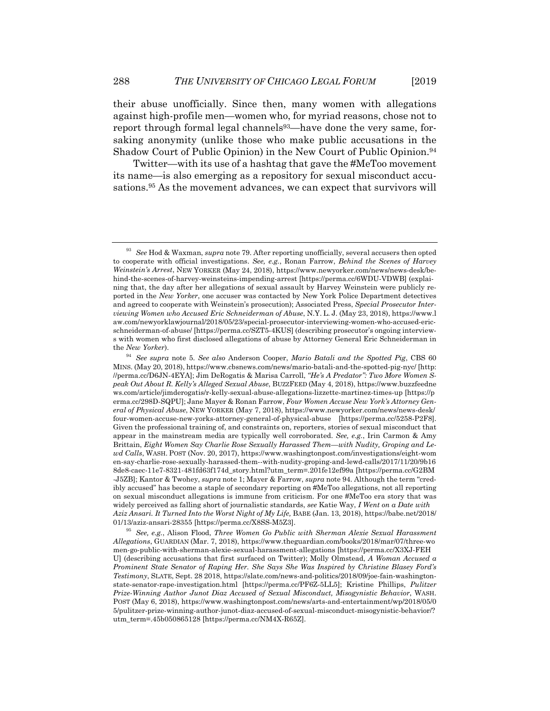their abuse unofficially. Since then, many women with allegations against high-profile men—women who, for myriad reasons, chose not to report through formal legal channels<sup>93</sup>—have done the very same, forsaking anonymity (unlike those who make public accusations in the Shadow Court of Public Opinion) in the New Court of Public Opinion.<sup>94</sup>

Twitter—with its use of a hashtag that gave the #MeToo movement its name—is also emerging as a repository for sexual misconduct accusations.95 As the movement advances, we can expect that survivors will

01/13/aziz-ansari-28355 [https://perma.cc/X8SS-M5Z3]. 95 *See, e.g.*, Alison Flood, *Three Women Go Public with Sherman Alexie Sexual Harassment Allegations*, GUARDIAN (Mar. 7, 2018), https://www.theguardian.com/books/2018/mar/07/three-wo men-go-public-with-sherman-alexie-sexual-harassment-allegations [https://perma.cc/X3XJ-FEH U] (describing accusations that first surfaced on Twitter); Molly Olmstead, *A Woman Accused a Prominent State Senator of Raping Her. She Says She Was Inspired by Christine Blasey Ford's Testimony*, SLATE, Sept. 28 2018, https://slate.com/news-and-politics/2018/09/joe-fain-washingtonstate-senator-rape-investigation.html [https://perma.cc/PF6Z-5LL5]; Kristine Phillips, *Pulitzer Prize-Winning Author Junot Diaz Accused of Sexual Misconduct, Misogynistic Behavior*, WASH. POST (May 6, 2018), https://www.washingtonpost.com/news/arts-and-entertainment/wp/2018/05/0 5/pulitzer-prize-winning-author-junot-diaz-accused-of-sexual-misconduct-misogynistic-behavior/? utm\_term=.45b050865128 [https://perma.cc/NM4X-R65Z].

<sup>93</sup> *See* Hod & Waxman, *supra* note 79. After reporting unofficially, several accusers then opted to cooperate with official investigations. *See, e.g.*, Ronan Farrow, *Behind the Scenes of Harvey Weinstein's Arrest*, NEW YORKER (May 24, 2018), https://www.newyorker.com/news/news-desk/behind-the-scenes-of-harvey-weinsteins-impending-arrest [https://perma.cc/6WDU-VDWB] (explaining that, the day after her allegations of sexual assault by Harvey Weinstein were publicly reported in the *New Yorker*, one accuser was contacted by New York Police Department detectives and agreed to cooperate with Weinstein's prosecution); Associated Press, *Special Prosecutor Interviewing Women who Accused Eric Schneiderman of Abuse*, N.Y. L. J. (May 23, 2018), https://www.l aw.com/newyorklawjournal/2018/05/23/special-prosecutor-interviewing-women-who-accused-ericschneiderman-of-abuse/ [https://perma.cc/SZT5-4KUS] (describing prosecutor's ongoing interviews with women who first disclosed allegations of abuse by Attorney General Eric Schneiderman in the *New Yorker*). 94 *See supra* note 5. *See also* Anderson Cooper, *Mario Batali and the Spotted Pig*, CBS 60

MINS. (May 20, 2018), https://www.cbsnews.com/news/mario-batali-and-the-spotted-pig-nyc/ [http: //perma.cc/D6JN-4EYA]; Jim DeRogatis & Marisa Carroll, *"He's A Predator": Two More Women Speak Out About R. Kelly's Alleged Sexual Abuse*, BUZZFEED (May 4, 2018), https://www.buzzfeedne ws.com/article/jimderogatis/r-kelly-sexual-abuse-allegations-lizzette-martinez-times-up [https://p erma.cc/298D-SQPU]; Jane Mayer & Ronan Farrow, *Four Women Accuse New York's Attorney General of Physical Abuse*, NEW YORKER (May 7, 2018), https://www.newyorker.com/news/news-desk/ four-women-accuse-new-yorks-attorney-general-of-physical-abuse [https://perma.cc/5258-P2F8]. Given the professional training of, and constraints on, reporters, stories of sexual misconduct that appear in the mainstream media are typically well corroborated. *See, e.g.*, Irin Carmon & Amy Brittain, *Eight Women Say Charlie Rose Sexually Harassed Them—with Nudity, Groping and Lewd Calls*, WASH. POST (Nov. 20, 2017), https://www.washingtonpost.com/investigations/eight-wom en-say-charlie-rose-sexually-harassed-them--with-nudity-groping-and-lewd-calls/2017/11/20/9b16 8de8-caec-11e7-8321-481fd63f174d\_story.html?utm\_term=.201fe12ef99a [https://perma.cc/G2BM -J5ZB]; Kantor & Twohey, *supra* note 1; Mayer & Farrow, *supra* note 94. Although the term "credibly accused" has become a staple of secondary reporting on #MeToo allegations, not all reporting on sexual misconduct allegations is immune from criticism. For one #MeToo era story that was widely perceived as falling short of journalistic standards, *see* Katie Way, *I Went on a Date with Aziz Ansari. It Turned Into the Worst Night of My Life,* BABE (Jan. 13, 2018), https://babe.net/2018/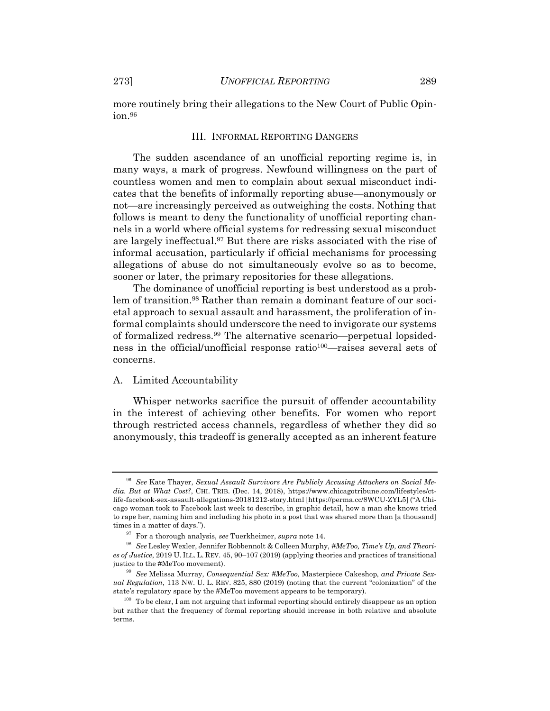more routinely bring their allegations to the New Court of Public Opinion.96

#### III. INFORMAL REPORTING DANGERS

The sudden ascendance of an unofficial reporting regime is, in many ways, a mark of progress. Newfound willingness on the part of countless women and men to complain about sexual misconduct indicates that the benefits of informally reporting abuse—anonymously or not—are increasingly perceived as outweighing the costs. Nothing that follows is meant to deny the functionality of unofficial reporting channels in a world where official systems for redressing sexual misconduct are largely ineffectual.97 But there are risks associated with the rise of informal accusation, particularly if official mechanisms for processing allegations of abuse do not simultaneously evolve so as to become, sooner or later, the primary repositories for these allegations.

The dominance of unofficial reporting is best understood as a problem of transition.98 Rather than remain a dominant feature of our societal approach to sexual assault and harassment, the proliferation of informal complaints should underscore the need to invigorate our systems of formalized redress.99 The alternative scenario—perpetual lopsidedness in the official/unofficial response ratio100—raises several sets of concerns.

#### A. Limited Accountability

Whisper networks sacrifice the pursuit of offender accountability in the interest of achieving other benefits. For women who report through restricted access channels, regardless of whether they did so anonymously, this tradeoff is generally accepted as an inherent feature

<sup>96</sup> *See* Kate Thayer, *Sexual Assault Survivors Are Publicly Accusing Attackers on Social Media. But at What Cost?*, CHI. TRIB. (Dec. 14, 2018), https://www.chicagotribune.com/lifestyles/ctlife-facebook-sex-assault-allegations-20181212-story.html [https://perma.cc/8WCU-ZYL5] ("A Chicago woman took to Facebook last week to describe, in graphic detail, how a man she knows tried to rape her, naming him and including his photo in a post that was shared more than [a thousand] times in a matter of days.").<br><sup>97</sup> For a thorough analysis, *see* Tuerkheimer, *supra* note 14.<br><sup>98</sup> See Lesley Wexler, Jennifer Robbennolt & Colleen Murphy, *#MeToo, Time's Up, and Theori-*

*es of Justice*, 2019 U. ILL. L. REV. 45, 90–107 (2019) (applying theories and practices of transitional justice to the #MeToo movement). 99 *See* Melissa Murray, *Consequential Sex: #MeToo,* Masterpiece Cakeshop*, and Private Sex-*

*ual Regulation*, 113 NW. U. L. REV. 825, 880 (2019) (noting that the current "colonization" of the state's regulatory space by the #MeToo movement appears to be temporary).

 $100$  To be clear, I am not arguing that informal reporting should entirely disappear as an option but rather that the frequency of formal reporting should increase in both relative and absolute terms.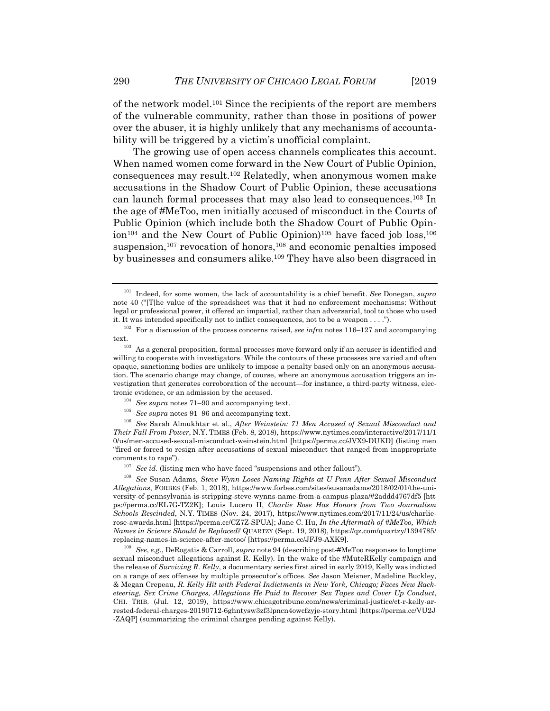of the network model.101 Since the recipients of the report are members of the vulnerable community, rather than those in positions of power over the abuser, it is highly unlikely that any mechanisms of accountability will be triggered by a victim's unofficial complaint.

The growing use of open access channels complicates this account. When named women come forward in the New Court of Public Opinion, consequences may result.102 Relatedly, when anonymous women make accusations in the Shadow Court of Public Opinion, these accusations can launch formal processes that may also lead to consequences.103 In the age of #MeToo, men initially accused of misconduct in the Courts of Public Opinion (which include both the Shadow Court of Public Opinion<sup>104</sup> and the New Court of Public Opinion)<sup>105</sup> have faced job loss,<sup>106</sup> suspension,<sup>107</sup> revocation of honors,<sup>108</sup> and economic penalties imposed by businesses and consumers alike.109 They have also been disgraced in

<sup>101</sup> Indeed, for some women, the lack of accountability is a chief benefit. *See* Donegan, *supra*  note 40 ("[T]he value of the spreadsheet was that it had no enforcement mechanisms: Without legal or professional power, it offered an impartial, rather than adversarial, tool to those who used it. It was intended specifically not to inflict consequences, not to be a weapon  $\dots$ .").<br><sup>102</sup> For a discussion of the process concerns raised, *see infra* notes 116–127 and accompanying

text. 103 As a general proposition, formal processes move forward only if an accuser is identified and

willing to cooperate with investigators. While the contours of these processes are varied and often opaque, sanctioning bodies are unlikely to impose a penalty based only on an anonymous accusation. The scenario change may change, of course, where an anonymous accusation triggers an investigation that generates corroboration of the account—for instance, a third-party witness, electronic evidence, or an admission by the accused.<br><sup>104</sup> See supra notes 71–90 and accompanying text.<br><sup>105</sup> See supra notes 91–96 and accompanying text.<br><sup>105</sup> See Sarah Almukhtar et al., *After Weinstein: 71 Men Accused of* 

*Their Fall From Power*, N.Y. TIMES (Feb. 8, 2018), https://www.nytimes.com/interactive/2017/11/1 0/us/men-accused-sexual-misconduct-weinstein.html [https://perma.cc/JVX9-DUKD] (listing men "fired or forced to resign after accusations of sexual misconduct that ranged from inappropriate comments to rape"). 107 *See id.* (listing men who have faced "suspensions and other fallout"). 108 *See* Susan Adams, *Steve Wynn Loses Naming Rights at U Penn After Sexual Misconduct* 

*Allegations*, FORBES (Feb. 1, 2018), https://www.forbes.com/sites/susanadams/2018/02/01/the-university-of-pennsylvania-is-stripping-steve-wynns-name-from-a-campus-plaza/#2addd4767df5 [htt ps://perma.cc/EL7G-TZ2K]; Louis Lucero II, *Charlie Rose Has Honors from Two Journalism Schools Rescinded*, N.Y. TIMES (Nov. 24, 2017), https://www.nytimes.com/2017/11/24/us/charlierose-awards.html [https://perma.cc/CZ7Z-SPUA]; Jane C. Hu, *In the Aftermath of #MeToo, Which Names in Science Should be Replaced?* QUARTZY (Sept. 19, 2018), https://qz.com/quartzy/1394785/ replacing-names-in-science-after-metoo/ [https://perma.cc/JFJ9-AXK9]. 109 *See*, *e.g.*, DeRogatis & Carroll, *supra* note 94 (describing post-#MeToo responses to longtime

sexual misconduct allegations against R. Kelly). In the wake of the #MuteRKelly campaign and the release of *Surviving R. Kelly*, a documentary series first aired in early 2019, Kelly was indicted on a range of sex offenses by multiple prosecutor's offices. *See* Jason Meisner, Madeline Buckley, & Megan Crepeau, *R. Kelly Hit with Federal Indictments in New York, Chicago; Faces New Racketeering, Sex Crime Charges, Allegations He Paid to Recover Sex Tapes and Cover Up Conduct*, CHI. TRIB. (Jul. 12, 2019), https://www.chicagotribune.com/news/criminal-justice/ct-r-kelly-arrested-federal-charges-20190712-6ghntysw3zf3lpncn4owcfzyje-story.html [https://perma.cc/VU2J -ZAQP] (summarizing the criminal charges pending against Kelly).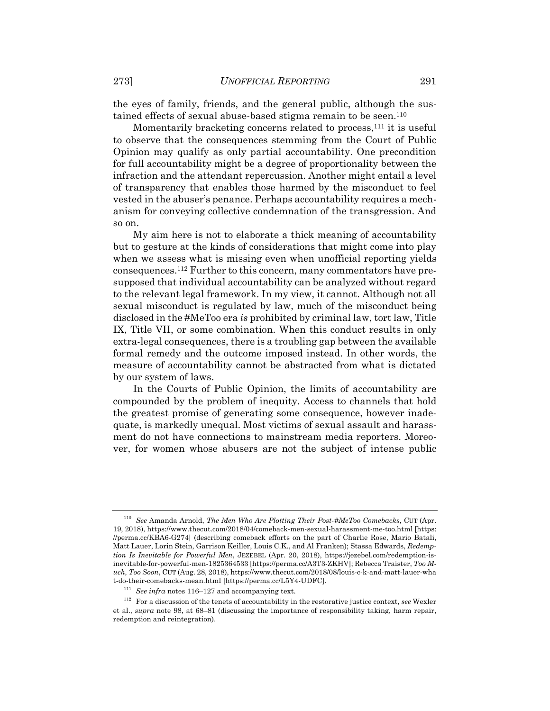the eyes of family, friends, and the general public, although the sustained effects of sexual abuse-based stigma remain to be seen.<sup>110</sup>

Momentarily bracketing concerns related to process,<sup>111</sup> it is useful to observe that the consequences stemming from the Court of Public Opinion may qualify as only partial accountability. One precondition for full accountability might be a degree of proportionality between the infraction and the attendant repercussion. Another might entail a level of transparency that enables those harmed by the misconduct to feel vested in the abuser's penance. Perhaps accountability requires a mechanism for conveying collective condemnation of the transgression. And so on.

My aim here is not to elaborate a thick meaning of accountability but to gesture at the kinds of considerations that might come into play when we assess what is missing even when unofficial reporting yields consequences.112 Further to this concern, many commentators have presupposed that individual accountability can be analyzed without regard to the relevant legal framework. In my view, it cannot. Although not all sexual misconduct is regulated by law, much of the misconduct being disclosed in the #MeToo era *is* prohibited by criminal law, tort law, Title IX, Title VII, or some combination. When this conduct results in only extra-legal consequences, there is a troubling gap between the available formal remedy and the outcome imposed instead. In other words, the measure of accountability cannot be abstracted from what is dictated by our system of laws.

In the Courts of Public Opinion, the limits of accountability are compounded by the problem of inequity. Access to channels that hold the greatest promise of generating some consequence, however inadequate, is markedly unequal. Most victims of sexual assault and harassment do not have connections to mainstream media reporters. Moreover, for women whose abusers are not the subject of intense public

<sup>110</sup> *See* Amanda Arnold, *The Men Who Are Plotting Their Post-#MeToo Comebacks*, CUT (Apr. 19, 2018), https://www.thecut.com/2018/04/comeback-men-sexual-harassment-me-too.html [https: //perma.cc/KBA6-G274] (describing comeback efforts on the part of Charlie Rose, Mario Batali, Matt Lauer, Lorin Stein, Garrison Keiller, Louis C.K., and Al Franken); Stassa Edwards, *Redemption Is Inevitable for Powerful Men*, JEZEBEL (Apr. 20, 2018), https://jezebel.com/redemption-isinevitable-for-powerful-men-1825364533 [https://perma.cc/A3T3-ZKHV]; Rebecca Traister, *Too Much, Too Soon*, CUT (Aug. 28, 2018), https://www.thecut.com/2018/08/louis-c-k-and-matt-lauer-wha t-do-their-comebacks-mean.html [https://perma.cc/L5Y4-UDFC].<br>  $^{111}$  See infra notes 116–127 and accompanying text.<br>  $^{112}$  For a discussion of the tenets of accountability in the restorative justice context, see Wexler

et al., *supra* note 98, at 68–81 (discussing the importance of responsibility taking, harm repair, redemption and reintegration).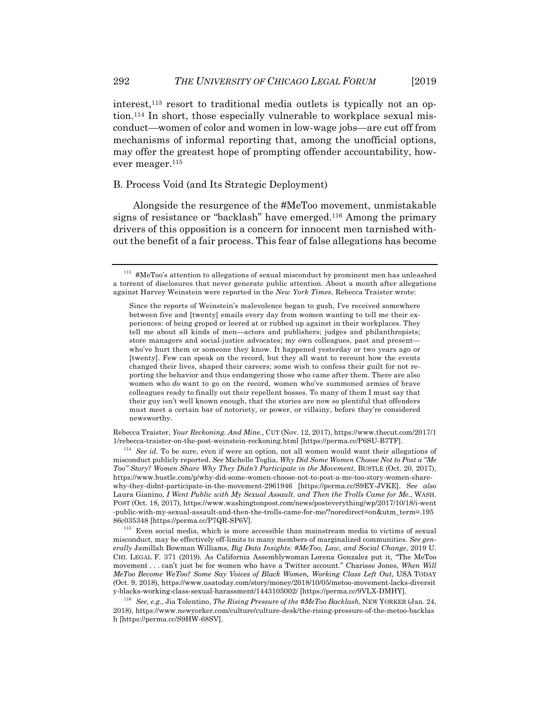interest,<sup>113</sup> resort to traditional media outlets is typically not an option.114 In short, those especially vulnerable to workplace sexual misconduct—women of color and women in low-wage jobs—are cut off from mechanisms of informal reporting that, among the unofficial options, may offer the greatest hope of prompting offender accountability, however meager.<sup>115</sup>

#### B. Process Void (and Its Strategic Deployment)

Alongside the resurgence of the #MeToo movement, unmistakable signs of resistance or "backlash" have emerged.116 Among the primary drivers of this opposition is a concern for innocent men tarnished without the benefit of a fair process. This fear of false allegations has become

Rebecca Traister, *Your Reckoning. And Mine.*, CUT (Nov. 12, 2017), https://www.thecut.com/2017/1 1/rebecca-traister-on-the-post-weinstein-reckoning.html [https://perma.cc/P6SU-B7TF]. 114 *See id.* To be sure, even if were an option, not all women would want their allegations of

misconduct publicly reported. *See* Michelle Toglia, *Why Did Some Women Choose Not to Post a "Me Too" Story? Women Share Why They Didn't Participate in the Movement*, BUSTLE (Oct. 20, 2017), https://www.bustle.com/p/why-did-some-women-choose-not-to-post-a-me-too-story-women-sharewhy-they-didnt-participate-in-the-movement-2961946 [https://perma.cc/S9EY-JVKE]. S*ee also* Laura Gianino, *I Went Public with My Sexual Assault. and Then the Trolls Came for Me.*, WASH. POST (Oct. 18, 2017), https://www.washingtonpost.com/news/posteverything/wp/2017/10/18/i-went -public-with-my-sexual-assault-and-then-the-trolls-came-for-me/?noredirect=on&utm\_term=.195

86c035348 [https://perma.cc/P7QR-SP6V].<br><sup>115</sup> Even social media, which is more accessible than mainstream media to victims of sexual misconduct, may be effectively off-limits to many members of marginalized communities. *See generally* Jamillah Bowman Williams, *Big Data Insights: #MeToo, Law, and Social Change*, 2019 U. CHI. LEGAL F. 371 (2019)*.* As California Assemblywoman Lorena Gonzalez put it, "The MeToo movement . . . can't just be for women who have a Twitter account.'' Charisse Jones, *When Will MeToo Become WeToo? Some Say Voices of Black Women, Working Class Left Out*, USA TODAY (Oct. 9, 2018), https://www.usatoday.com/story/money/2018/10/05/metoo-movement-lacks-diversit

<sup>116</sup> See, e.g., Jia Tolentino, *The Rising Pressure of the #MeToo Backlash*, NEW YORKER (Jan. 24, 2018), https://www.newyorker.com/culture/culture-desk/the-rising-pressure-of-the-metoo-backlas h [https://perma.cc/S9HW-68SV].

 $113$  #MeToo's attention to allegations of sexual misconduct by prominent men has unleashed a torrent of disclosures that never generate public attention. About a month after allegations against Harvey Weinstein were reported in the *New York Times*, Rebecca Traister wrote:

Since the reports of Weinstein's malevolence began to gush, I've received somewhere between five and [twenty] emails every day from women wanting to tell me their experiences: of being groped or leered at or rubbed up against in their workplaces. They tell me about all kinds of men—actors and publishers; judges and philanthropists; store managers and social-justice advocates; my own colleagues, past and present who've hurt them or someone they know. It happened yesterday or two years ago or [twenty]. Few can speak on the record, but they all want to recount how the events changed their lives, shaped their careers; some wish to confess their guilt for not reporting the behavior and thus endangering those who came after them. There are also women who *do* want to go on the record, women who've summoned armies of brave colleagues ready to finally out their repellent bosses. To many of them I must say that their guy isn't well known enough, that the stories are now so plentiful that offenders must meet a certain bar of notoriety, or power, or villainy, before they're considered newsworthy.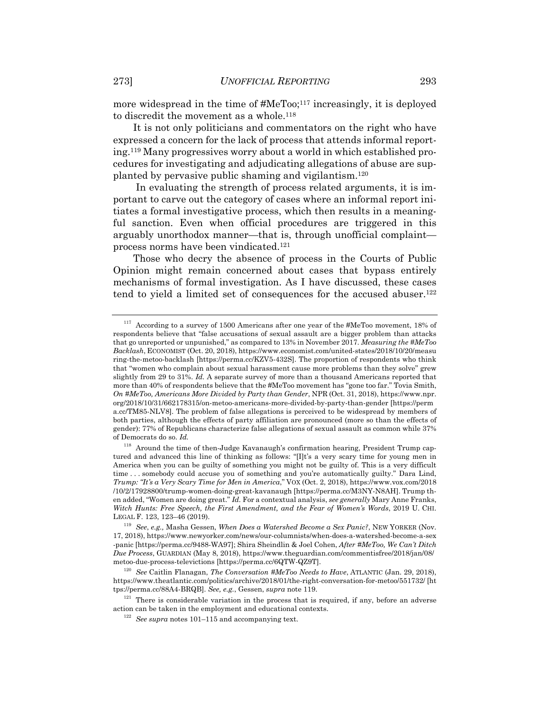more widespread in the time of #MeToo;<sup>117</sup> increasingly, it is deployed to discredit the movement as a whole.<sup>118</sup>

It is not only politicians and commentators on the right who have expressed a concern for the lack of process that attends informal reporting.119 Many progressives worry about a world in which established procedures for investigating and adjudicating allegations of abuse are supplanted by pervasive public shaming and vigilantism.120

 In evaluating the strength of process related arguments, it is important to carve out the category of cases where an informal report initiates a formal investigative process, which then results in a meaningful sanction. Even when official procedures are triggered in this arguably unorthodox manner—that is, through unofficial complaint process norms have been vindicated.121

Those who decry the absence of process in the Courts of Public Opinion might remain concerned about cases that bypass entirely mechanisms of formal investigation. As I have discussed, these cases tend to yield a limited set of consequences for the accused abuser.122

 $117$  According to a survey of 1500 Americans after one year of the #MeToo movement, 18% of respondents believe that "false accusations of sexual assault are a bigger problem than attacks that go unreported or unpunished," as compared to 13% in November 2017. *Measuring the #MeToo Backlash*, ECONOMIST (Oct. 20, 2018), https://www.economist.com/united-states/2018/10/20/measu ring-the-metoo-backlash [https://perma.cc/KZV5-432S]. The proportion of respondents who think that "women who complain about sexual harassment cause more problems than they solve" grew slightly from 29 to 31%. *Id.* A separate survey of more than a thousand Americans reported that more than 40% of respondents believe that the #MeToo movement has "gone too far." Tovia Smith, *On #MeToo, Americans More Divided by Party than Gender*, NPR (Oct. 31, 2018), https://www.npr. org/2018/10/31/662178315/on-metoo-americans-more-divided-by-party-than-gender [https://perm a.cc/TM85-NLV8]. The problem of false allegations is perceived to be widespread by members of both parties, although the effects of party affiliation are pronounced (more so than the effects of gender): 77% of Republicans characterize false allegations of sexual assault as common while 37% of Democrats do so. *Id.*

 $118$  Around the time of then-Judge Kavanaugh's confirmation hearing, President Trump captured and advanced this line of thinking as follows: "[I]t's a very scary time for young men in America when you can be guilty of something you might not be guilty of. This is a very difficult time . . . somebody could accuse you of something and you're automatically guilty." Dara Lind, *Trump: "It's a Very Scary Time for Men in America*," VOX (Oct. 2, 2018), https://www.vox.com/2018 /10/2/17928800/trump-women-doing-great-kavanaugh [https://perma.cc/M3NY-N8AH]. Trump then added, "Women are doing great." *Id.* For a contextual analysis, *see generally* Mary Anne Franks, *Witch Hunts: Free Speech, the First Amendment, and the Fear of Women's Words*, 2019 U. CHI. LEGAL F. 123, 123–46 (2019). 119 *See*, *e.g.,* Masha Gessen, *When Does a Watershed Become a Sex Panic?*, NEW YORKER (Nov.

<sup>17, 2018),</sup> https://www.newyorker.com/news/our-columnists/when-does-a-watershed-become-a-sex -panic [https://perma.cc/9488-WA97]; Shira Sheindlin & Joel Cohen, *After #MeToo, We Can't Ditch Due Process*, GUARDIAN (May 8, 2018), https://www.theguardian.com/commentisfree/2018/jan/08/

<sup>&</sup>lt;sup>120</sup> See Caitlin Flanagan, *The Conversation* #MeToo Needs to Have, ATLANTIC (Jan. 29, 2018), https://www.theatlantic.com/politics/archive/2018/01/the-right-conversation-for-metoo/551732/ [ht<br>tps://perma.cc/88A4-BRQB]. See, e.g., Gessen, supra note 119.

<sup>&</sup>lt;sup>121</sup> There is considerable variation in the process that is required, if any, before an adverse action can be taken in the employment and educational contexts. 122 *See supra* notes 101–115 and accompanying text.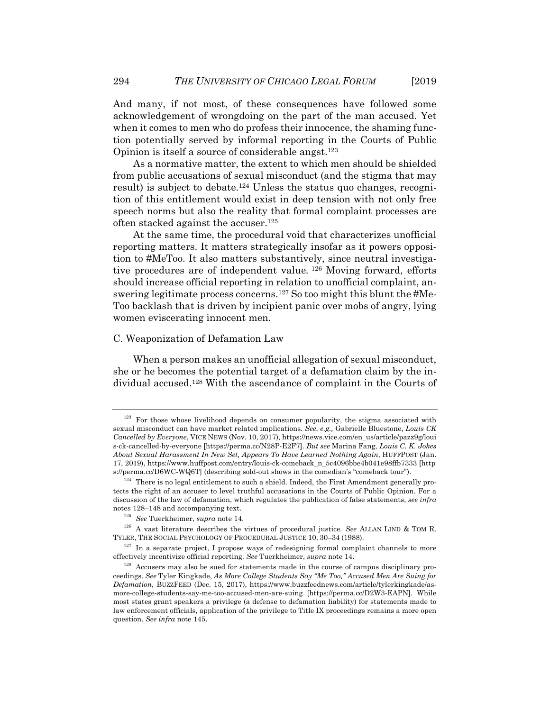And many, if not most, of these consequences have followed some acknowledgement of wrongdoing on the part of the man accused. Yet when it comes to men who do profess their innocence, the shaming function potentially served by informal reporting in the Courts of Public Opinion is itself a source of considerable angst.123

As a normative matter, the extent to which men should be shielded from public accusations of sexual misconduct (and the stigma that may result) is subject to debate.124 Unless the status quo changes, recognition of this entitlement would exist in deep tension with not only free speech norms but also the reality that formal complaint processes are often stacked against the accuser.125

At the same time, the procedural void that characterizes unofficial reporting matters. It matters strategically insofar as it powers opposition to #MeToo. It also matters substantively, since neutral investigative procedures are of independent value*.* 126 Moving forward, efforts should increase official reporting in relation to unofficial complaint, answering legitimate process concerns.127 So too might this blunt the #Me-Too backlash that is driven by incipient panic over mobs of angry, lying women eviscerating innocent men.

#### C. Weaponization of Defamation Law

When a person makes an unofficial allegation of sexual misconduct, she or he becomes the potential target of a defamation claim by the individual accused.128 With the ascendance of complaint in the Courts of

<sup>&</sup>lt;sup>123</sup> For those whose livelihood depends on consumer popularity, the stigma associated with sexual misconduct can have market related implications. *See*, *e.g.,* Gabrielle Bluestone, *Louis CK Cancelled by Everyone*, VICE NEWS (Nov. 10, 2017), https://news.vice.com/en\_us/article/pazz9g/loui s-ck-cancelled-by-everyone [https://perma.cc/N28P-E2F7]. *But see* Marina Fang, *Louis C. K. Jokes About Sexual Harassment In New Set, Appears To Have Learned Nothing Again*, HUFFPOST (Jan. 17, 2019), https://www.huffpost.com/entry/louis-ck-comeback\_n\_5c4096bbe4b041e98ffb7333 [http s://perma.cc/D6WC-WQ6T] (describing sold-out shows in the comedian's "comeback tour").<br><sup>124</sup> There is no legal entitlement to such a shield. Indeed, the First Amendment generally pro-

tects the right of an accuser to level truthful accusations in the Courts of Public Opinion. For a discussion of the law of defamation, which regulates the publication of false statements, *see infra*

notes 128–148 and accompanying text.<br><sup>125</sup> See Tuerkheimer, *supra* note 14.<br><sup>126</sup> A vast literature describes the virtues of procedural justice. See ALLAN LIND & TOM R. TYLER, THE SOCIAL PSYCHOLOGY OF PROCEDURAL JUSTICE 10, 30–34 (1988).<br><sup>127</sup> In a separate project, I propose ways of redesigning formal complaint channels to more

effectively incentivize official reporting. *See* Tuerkheimer, *supra* note 14.<br><sup>128</sup> Accusers may also be sued for statements made in the course of campus disciplinary pro-

ceedings. *See* Tyler Kingkade, *As More College Students Say "Me Too," Accused Men Are Suing for Defamation*, BUZZFEED (Dec. 15, 2017), https://www.buzzfeednews.com/article/tylerkingkade/asmore-college-students-say-me-too-accused-men-are-suing [https://perma.cc/D2W3-EAPN]. While most states grant speakers a privilege (a defense to defamation liability) for statements made to law enforcement officials, application of the privilege to Title IX proceedings remains a more open question. *See infra* note 145.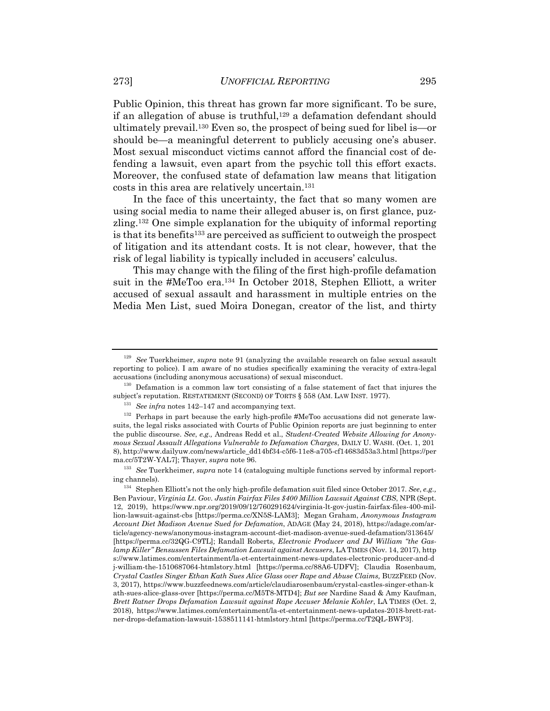Public Opinion, this threat has grown far more significant. To be sure, if an allegation of abuse is truthful,<sup>129</sup> a defamation defendant should ultimately prevail.130 Even so, the prospect of being sued for libel is—or should be—a meaningful deterrent to publicly accusing one's abuser. Most sexual misconduct victims cannot afford the financial cost of defending a lawsuit, even apart from the psychic toll this effort exacts. Moreover, the confused state of defamation law means that litigation costs in this area are relatively uncertain.131

In the face of this uncertainty, the fact that so many women are using social media to name their alleged abuser is, on first glance, puzzling.132 One simple explanation for the ubiquity of informal reporting is that its benefits<sup>133</sup> are perceived as sufficient to outweigh the prospect of litigation and its attendant costs. It is not clear, however, that the risk of legal liability is typically included in accusers' calculus.

This may change with the filing of the first high-profile defamation suit in the #MeToo era.134 In October 2018, Stephen Elliott, a writer accused of sexual assault and harassment in multiple entries on the Media Men List, sued Moira Donegan, creator of the list, and thirty

<sup>129</sup> *See* Tuerkheimer, *supra* note 91 (analyzing the available research on false sexual assault reporting to police). I am aware of no studies specifically examining the veracity of extra-legal

accusations (including anonymous accusations) of sexual misconduct.<br><sup>130</sup> Defamation is a common law tort consisting of a false statement of fact that injures the<br>subject's reputation. RESTATEMENT (SECOND) OF TORTS § 558 (

<sup>&</sup>lt;sup>131</sup> See infra notes 142–147 and accompanying text.<br><sup>132</sup> Perhaps in part because the early high-profile #MeToo accusations did not generate lawsuits, the legal risks associated with Courts of Public Opinion reports are just beginning to enter the public discourse. *See*, *e.g.,* Andreas Redd et al., *Student-Created Website Allowing for Anonymous Sexual Assault Allegations Vulnerable to Defamation Charges*, DAILY U. WASH. (Oct. 1, 201 8), http://www.dailyuw.com/news/article\_dd14bf34-c5f6-11e8-a705-cf14683d53a3.html [https://per ma.cc/5T2W-YAL7]; Thayer, *supra* note 96.<br><sup>133</sup> See Tuerkheimer, *supra* note 14 (cataloguing multiple functions served by informal report-

ing channels). 134 Stephen Elliott's not the only high-profile defamation suit filed since October 2017. *See*, *e.g.,* Ben Paviour, *Virginia Lt. Gov. Justin Fairfax Files \$400 Million Lawsuit Against CBS*, NPR (Sept. 12, 2019), https://www.npr.org/2019/09/12/760291624/virginia-lt-gov-justin-fairfax-files-400-million-lawsuit-against-cbs [https://perma.cc/XN5S-LAM3]; Megan Graham, *Anonymous Instagram Account Diet Madison Avenue Sued for Defamation*, ADAGE (May 24, 2018), https://adage.com/article/agency-news/anonymous-instagram-account-diet-madison-avenue-sued-defamation/313645/ [https://perma.cc/32QG-C9TL]; Randall Roberts*, Electronic Producer and DJ William "the Gaslamp Killer" Bensussen Files Defamation Lawsuit against Accusers*, LA TIMES (Nov. 14, 2017), http s://www.latimes.com/entertainment/la-et-entertainment-news-updates-electronic-producer-and-d j-william-the-1510687064-htmlstory.html [https://perma.cc/88A6-UDFV]; Claudia Rosenbaum*, Crystal Castles Singer Ethan Kath Sues Alice Glass over Rape and Abuse Claims,* BUZZFEED (Nov. 3, 2017), https://www.buzzfeednews.com/article/claudiarosenbaum/crystal-castles-singer-ethan-k ath-sues-alice-glass-over [https://perma.cc/M5T8-MTD4]; *But see* Nardine Saad & Amy Kaufman, *Brett Ratner Drops Defamation Lawsuit against Rape Accuser Melanie Kohler*, LA TIMES (Oct. 2, 2018), https://www.latimes.com/entertainment/la-et-entertainment-news-updates-2018-brett-ratner-drops-defamation-lawsuit-1538511141-htmlstory.html [https://perma.cc/T2QL-BWP3].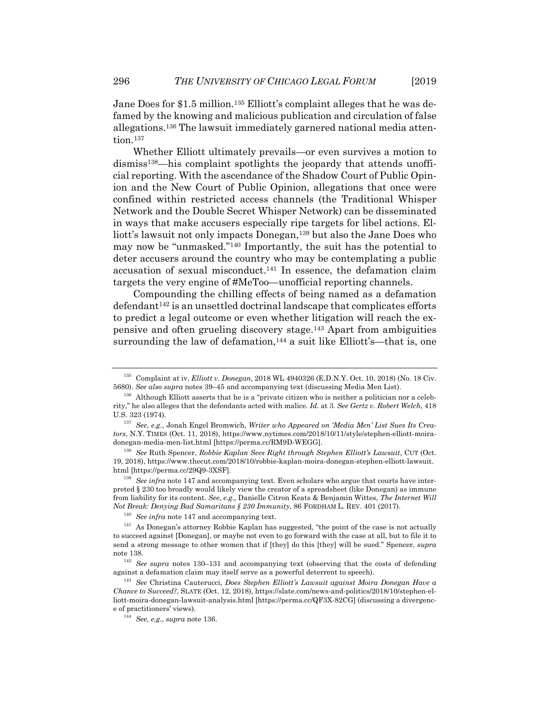Jane Does for \$1.5 million.<sup>135</sup> Elliott's complaint alleges that he was defamed by the knowing and malicious publication and circulation of false allegations.136 The lawsuit immediately garnered national media attention.137

Whether Elliott ultimately prevails—or even survives a motion to dismiss138—his complaint spotlights the jeopardy that attends unofficial reporting. With the ascendance of the Shadow Court of Public Opinion and the New Court of Public Opinion, allegations that once were confined within restricted access channels (the Traditional Whisper Network and the Double Secret Whisper Network) can be disseminated in ways that make accusers especially ripe targets for libel actions. Elliott's lawsuit not only impacts Donegan,<sup>139</sup> but also the Jane Does who may now be "unmasked."140 Importantly, the suit has the potential to deter accusers around the country who may be contemplating a public accusation of sexual misconduct.141 In essence, the defamation claim targets the very engine of #MeToo—unofficial reporting channels.

Compounding the chilling effects of being named as a defamation  $defendant<sup>142</sup> is an unsettled doctrinal landscape that complicates efforts$ to predict a legal outcome or even whether litigation will reach the expensive and often grueling discovery stage.143 Apart from ambiguities surrounding the law of defamation,<sup>144</sup> a suit like Elliott's—that is, one

<sup>&</sup>lt;sup>135</sup> Complaint at iv, *Elliott v. Donegan*, 2018 WL 4940326 (E.D.N.Y. Oct. 10, 2018) (No. 18 Civ. 5680). *See also supra* notes 39–45 and accompanying text (discussing Media Men List).

<sup>&</sup>lt;sup>136</sup> Although Elliott asserts that he is a "private citizen who is neither a politician nor a celebrity," he also alleges that the defendants acted with malice. *Id.* at 3. *See Gertz v. Robert Welch*, 418 U.S. 323 (1974). 137 *See, e.g.*, Jonah Engel Bromwich, *Writer who Appeared on 'Media Men' List Sues Its Crea-*

*tors*, N.Y. TIMES (Oct. 11, 2018), https://www.nytimes.com/2018/10/11/style/stephen-elliott-moiradonegan-media-men-list.html [https://perma.cc/RM9D-WEGG]. 138 *See* Ruth Spencer, *Robbie Kaplan Sees Right through Stephen Elliott's Lawsuit*, CUT (Oct.

<sup>19, 2018),</sup> https://www.thecut.com/2018/10/robbie-kaplan-moira-donegan-stephen-elliott-lawsuit.

 $h^{139}$  *See infra* note 147 and accompanying text. Even scholars who argue that courts have interpreted § 230 too broadly would likely view the creator of a spreadsheet (like Donegan) as immune from liability for its content. *See*, *e.g.,* Danielle Citron Keats & Benjamin Wittes, *The Internet Will* 

Not Break: Denying Bad Samaritans § 230 Immunity, 86 FORDHAM L. REV. 401 (2017).<br><sup>140</sup> See infra note 147 and accompanying text.<br><sup>141</sup> As Donegan's attorney Robbie Kaplan has suggested, "the point of the case is not actua to succeed against [Donegan], or maybe not even to go forward with the case at all, but to file it to send a strong message to other women that if [they] do this [they] will be sued." Spencer, *supra* note 138. 142 *See supra* notes 130–131 and accompanying text (observing that the costs of defending

against a defamation claim may itself serve as a powerful deterrent to speech). 143 *See* Christina Cauterucci, *Does Stephen Elliott's Lawsuit against Moira Donegan Have a* 

*Chance to Succeed?*, SLATE (Oct. 12, 2018), https://slate.com/news-and-politics/2018/10/stephen-elliott-moira-donegan-lawsuit-analysis.html [https://perma.cc/QF3X-82CG] (discussing a divergence of practitioners' views). 144 *See, e.g.*, *supra* note 136.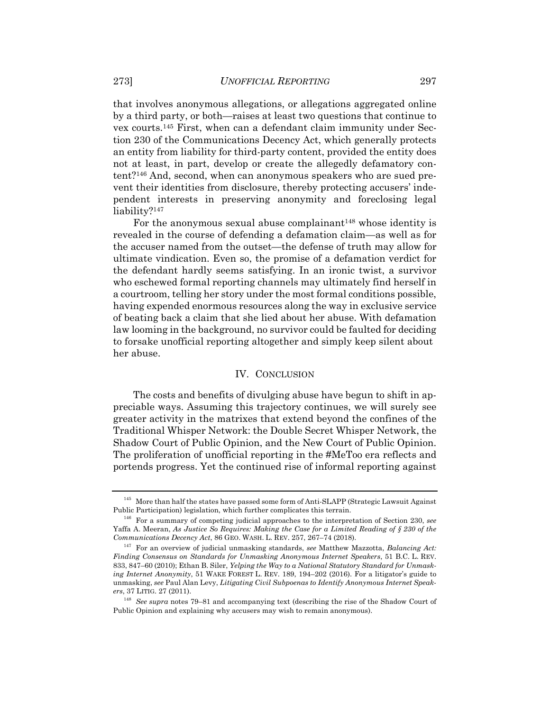that involves anonymous allegations, or allegations aggregated online by a third party, or both—raises at least two questions that continue to vex courts.145 First, when can a defendant claim immunity under Section 230 of the Communications Decency Act, which generally protects an entity from liability for third-party content, provided the entity does not at least, in part, develop or create the allegedly defamatory content?146 And, second, when can anonymous speakers who are sued prevent their identities from disclosure, thereby protecting accusers' independent interests in preserving anonymity and foreclosing legal liability?<sup>147</sup>

For the anonymous sexual abuse complainant<sup>148</sup> whose identity is revealed in the course of defending a defamation claim—as well as for the accuser named from the outset—the defense of truth may allow for ultimate vindication. Even so, the promise of a defamation verdict for the defendant hardly seems satisfying. In an ironic twist, a survivor who eschewed formal reporting channels may ultimately find herself in a courtroom, telling her story under the most formal conditions possible, having expended enormous resources along the way in exclusive service of beating back a claim that she lied about her abuse. With defamation law looming in the background, no survivor could be faulted for deciding to forsake unofficial reporting altogether and simply keep silent about her abuse.

#### IV. CONCLUSION

The costs and benefits of divulging abuse have begun to shift in appreciable ways. Assuming this trajectory continues, we will surely see greater activity in the matrixes that extend beyond the confines of the Traditional Whisper Network: the Double Secret Whisper Network, the Shadow Court of Public Opinion, and the New Court of Public Opinion. The proliferation of unofficial reporting in the #MeToo era reflects and portends progress. Yet the continued rise of informal reporting against

<sup>&</sup>lt;sup>145</sup> More than half the states have passed some form of Anti-SLAPP (Strategic Lawsuit Against Public Participation) legislation, which further complicates this terrain.

<sup>&</sup>lt;sup>146</sup> For a summary of competing judicial approaches to the interpretation of Section 230, see Yaffa A. Meeran, *As Justice So Requires: Making the Case for a Limited Reading of § 230 of the Communications Decency Act*, 86 GEO. WASH. L. REV. 257, 267–74 (2018). 147 For an overview of judicial unmasking standards, *see* Matthew Mazzotta, *Balancing Act:* 

*Finding Consensus on Standards for Unmasking Anonymous Internet Speakers*, 51 B.C. L. REV. 833, 847–60 (2010); Ethan B. Siler, *Yelping the Way to a National Statutory Standard for Unmasking Internet Anonymity*, 51 WAKE FOREST L. REV. 189, 194–202 (2016). For a litigator's guide to unmasking, *see* Paul Alan Levy, *Litigating Civil Subpoenas to Identify Anonymous Internet Speak-*

<sup>&</sup>lt;sup>148</sup> See supra notes 79–81 and accompanying text (describing the rise of the Shadow Court of Public Opinion and explaining why accusers may wish to remain anonymous).